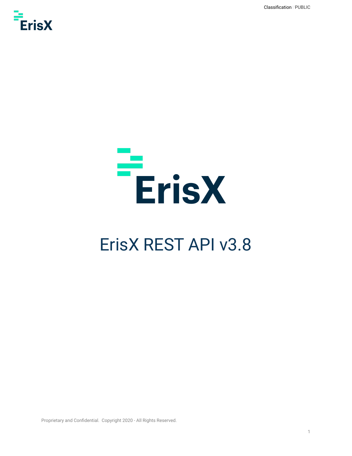Classification//PUBLIC





# ErisX REST API v3.8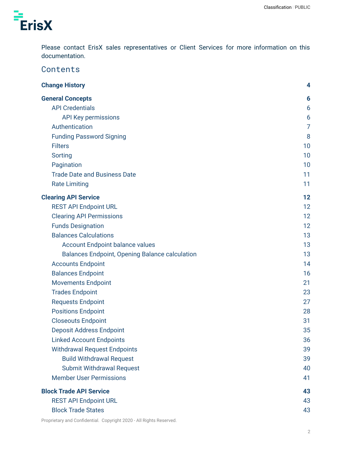

Please contact ErisX sales representatives or Client Services for more information on this documentation.

### **Contents**

| <b>Change History</b>                                 | 4              |
|-------------------------------------------------------|----------------|
| <b>General Concepts</b>                               | 6              |
| <b>API Credentials</b>                                | 6              |
| <b>API Key permissions</b>                            | 6              |
| Authentication                                        | $\overline{7}$ |
| <b>Funding Password Signing</b>                       | 8              |
| <b>Filters</b>                                        | 10             |
| Sorting                                               | 10             |
| Pagination                                            | 10             |
| <b>Trade Date and Business Date</b>                   | 11             |
| <b>Rate Limiting</b>                                  | 11             |
| <b>Clearing API Service</b>                           | 12             |
| <b>REST API Endpoint URL</b>                          | 12             |
| <b>Clearing API Permissions</b>                       | 12             |
| <b>Funds Designation</b>                              | 12             |
| <b>Balances Calculations</b>                          | 13             |
| <b>Account Endpoint balance values</b>                | 13             |
| <b>Balances Endpoint, Opening Balance calculation</b> | 13             |
| <b>Accounts Endpoint</b>                              | 14             |
| <b>Balances Endpoint</b>                              | 16             |
| <b>Movements Endpoint</b>                             | 21             |
| <b>Trades Endpoint</b>                                | 23             |
| <b>Requests Endpoint</b>                              | 27             |
| <b>Positions Endpoint</b>                             | 28             |
| <b>Closeouts Endpoint</b>                             | 31             |
| <b>Deposit Address Endpoint</b>                       | 35             |
| <b>Linked Account Endpoints</b>                       | 36             |
| <b>Withdrawal Request Endpoints</b>                   | 39             |
| <b>Build Withdrawal Request</b>                       | 39             |
| <b>Submit Withdrawal Request</b>                      | 40             |
| <b>Member User Permissions</b>                        | 41             |
| <b>Block Trade API Service</b>                        | 43             |
| <b>REST API Endpoint URL</b>                          | 43             |
| <b>Block Trade States</b>                             | 43             |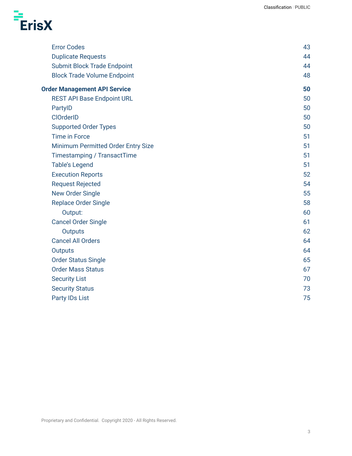

| <b>Error Codes</b>                  | 43 |
|-------------------------------------|----|
| <b>Duplicate Requests</b>           | 44 |
| <b>Submit Block Trade Endpoint</b>  | 44 |
| <b>Block Trade Volume Endpoint</b>  | 48 |
| <b>Order Management API Service</b> | 50 |
| <b>REST API Base Endpoint URL</b>   | 50 |
| PartyID                             | 50 |
| <b>ClOrderID</b>                    | 50 |
| <b>Supported Order Types</b>        | 50 |
| <b>Time in Force</b>                | 51 |
| Minimum Permitted Order Entry Size  | 51 |
| Timestamping / TransactTime         | 51 |
| <b>Table's Legend</b>               | 51 |
| <b>Execution Reports</b>            | 52 |
| <b>Request Rejected</b>             | 54 |
| <b>New Order Single</b>             | 55 |
| <b>Replace Order Single</b>         | 58 |
| Output:                             | 60 |
| <b>Cancel Order Single</b>          | 61 |
| <b>Outputs</b>                      | 62 |
| <b>Cancel All Orders</b>            | 64 |
| <b>Outputs</b>                      | 64 |
| <b>Order Status Single</b>          | 65 |
| <b>Order Mass Status</b>            | 67 |
| <b>Security List</b>                | 70 |
| <b>Security Status</b>              | 73 |
| <b>Party IDs List</b>               | 75 |
|                                     |    |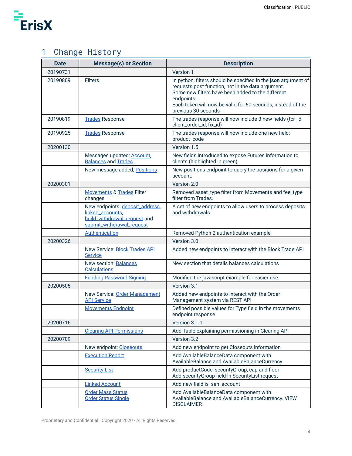

# <span id="page-3-0"></span>1 Change History

| <b>Date</b> | <b>Message(s) or Section</b>                                                                                     | <b>Description</b>                                                                                                                                                                                                                                                           |
|-------------|------------------------------------------------------------------------------------------------------------------|------------------------------------------------------------------------------------------------------------------------------------------------------------------------------------------------------------------------------------------------------------------------------|
| 20190731    |                                                                                                                  | Version 1                                                                                                                                                                                                                                                                    |
| 20190809    | <b>Filters</b>                                                                                                   | In python, filters should be specified in the json argument of<br>requests.post function, not in the data argument.<br>Some new filters have been added to the different<br>endpoints.<br>Each token will now be valid for 60 seconds, instead of the<br>previous 30 seconds |
| 20190819    | <b>Trades Response</b>                                                                                           | The trades response will now include 3 new fields (tcr_id,<br>client_order_id, fix_id)                                                                                                                                                                                       |
| 20190925    | <b>Trades Response</b>                                                                                           | The trades response will now include one new field:<br>product_code                                                                                                                                                                                                          |
| 20200130    |                                                                                                                  | Version 1.5                                                                                                                                                                                                                                                                  |
|             | Messages updated; Account,<br><b>Balances and Trades.</b>                                                        | New fields introduced to expose Futures information to<br>clients (highlighted in green).                                                                                                                                                                                    |
|             | New message added; Positions                                                                                     | New positions endpoint to query the positions for a given<br>account.                                                                                                                                                                                                        |
| 20200301    |                                                                                                                  | Version 2.0                                                                                                                                                                                                                                                                  |
|             | <b>Movements &amp; Trades Filter</b><br>changes                                                                  | Removed asset_type filter from Movements and fee_type<br>filter from Trades.                                                                                                                                                                                                 |
|             | New endpoints: deposit address,<br>linked_accounts,<br>build withdrawal request and<br>submit_withdrawal_request | A set of new endpoints to allow users to process deposits<br>and withdrawals.                                                                                                                                                                                                |
|             | <b>Authentication</b>                                                                                            | Removed Python 2 authentication example                                                                                                                                                                                                                                      |
| 20200326    |                                                                                                                  | Version 3.0                                                                                                                                                                                                                                                                  |
|             | New Service: <b>Block Trades API</b><br><b>Service</b>                                                           | Added new endpoints to interact with the Block Trade API                                                                                                                                                                                                                     |
|             | <b>New section: Balances</b><br><b>Calculations</b>                                                              | New section that details balances calculations                                                                                                                                                                                                                               |
|             | <b>Funding Password Signing</b>                                                                                  | Modified the javascript example for easier use                                                                                                                                                                                                                               |
| 20200505    |                                                                                                                  | Version 3.1                                                                                                                                                                                                                                                                  |
|             | New Service: Order Management<br><b>API Service</b>                                                              | Added new endpoints to interact with the Order<br>Management system via REST API                                                                                                                                                                                             |
|             | <b>Movements Endpoint</b>                                                                                        | Defined possible values for Type field in the movements<br>endpoint response                                                                                                                                                                                                 |
| 20200716    |                                                                                                                  | Version 3.1.1                                                                                                                                                                                                                                                                |
|             | <b>Clearing API Permissions</b>                                                                                  | Add Table explaining permissioning in Clearing API                                                                                                                                                                                                                           |
| 20200709    |                                                                                                                  | Version 3.2                                                                                                                                                                                                                                                                  |
|             | New endpoint: Closeouts                                                                                          | Add new endpoint to get Closeouts information                                                                                                                                                                                                                                |
|             | <b>Execution Report</b>                                                                                          | Add AvailableBalanceData component with<br>AvailableBalance and AvailableBalanceCurrency                                                                                                                                                                                     |
|             | <b>Security List</b>                                                                                             | Add productCode, securityGroup, cap and floor<br>Add securityGroup field in SecurityList request                                                                                                                                                                             |
|             | <b>Linked Account</b>                                                                                            | Add new field is_sen_account                                                                                                                                                                                                                                                 |
|             | <b>Order Mass Status</b><br><b>Order Status Single</b>                                                           | Add AvailableBalanceData component with<br>AvailableBalance and AvailableBalanceCurrency. VIEW<br><b>DISCLAIMER</b>                                                                                                                                                          |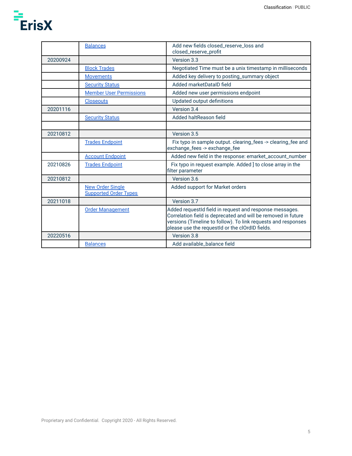

|          | <b>Balances</b>                                         | Add new fields closed_reserve_loss and<br>closed_reserve_profit                                                                                                                                                                              |
|----------|---------------------------------------------------------|----------------------------------------------------------------------------------------------------------------------------------------------------------------------------------------------------------------------------------------------|
| 20200924 |                                                         | Version 3.3                                                                                                                                                                                                                                  |
|          | <b>Block Trades</b>                                     | Negotiated Time must be a unix timestamp in milliseconds                                                                                                                                                                                     |
|          | <b>Movements</b>                                        | Added key delivery to posting_summary object                                                                                                                                                                                                 |
|          | <b>Security Status</b>                                  | Added marketDataID field                                                                                                                                                                                                                     |
|          | <b>Member User Permissions</b>                          | Added new user permissions endpoint                                                                                                                                                                                                          |
|          | <b>Closeouts</b>                                        | Updated output definitions                                                                                                                                                                                                                   |
| 20201116 |                                                         | Version 3.4                                                                                                                                                                                                                                  |
|          | <b>Security Status</b>                                  | Added haltReason field                                                                                                                                                                                                                       |
|          |                                                         |                                                                                                                                                                                                                                              |
| 20210812 |                                                         | Version 3.5                                                                                                                                                                                                                                  |
|          | <b>Trades Endpoint</b>                                  | Fix typo in sample output. clearing_fees -> clearing_fee and<br>exchange_fees -> exchange_fee                                                                                                                                                |
|          | <b>Account Endpoint</b>                                 | Added new field in the response: emarket_account_number                                                                                                                                                                                      |
| 20210826 | <b>Trades Endpoint</b>                                  | Fix typo in request example. Added ] to close array in the<br>filter parameter                                                                                                                                                               |
| 20210812 |                                                         | Version 3.6                                                                                                                                                                                                                                  |
|          | <b>New Order Single</b><br><b>Supported Order Types</b> | Added support for Market orders                                                                                                                                                                                                              |
| 20211018 |                                                         | Version 3.7                                                                                                                                                                                                                                  |
|          | <b>Order Management</b>                                 | Added requestId field in request and response messages.<br>Correlation field is deprecated and will be removed in future<br>versions (Timeline to follow). To link requests and responses<br>please use the requestId or the clOrdID fields. |
| 20220516 |                                                         | Version 3.8                                                                                                                                                                                                                                  |
|          | <b>Balances</b>                                         | Add available_balance field                                                                                                                                                                                                                  |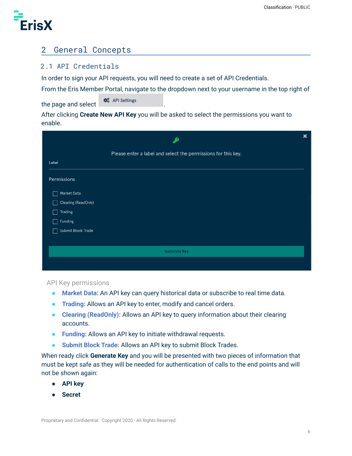

# <span id="page-5-0"></span>2 General Concepts

### <span id="page-5-1"></span>2.1 API Credentials

In order to sign your API requests, you will need to create a set of API Credentials.

From the Eris Member Portal, navigate to the dropdown next to your username in the top right of

the page and select  $\bigcirc$   $\mathbf{\hat{x}}_{s}^{e}$  API Settings

After clicking **Create New API Key** you will be asked to select the permissions you want to enable.

|                     | ∙                                                             | × |
|---------------------|---------------------------------------------------------------|---|
|                     | Please enter a label and select the permissions for this key. |   |
| Label               |                                                               |   |
| Permissions         |                                                               |   |
| Market Data         |                                                               |   |
| Clearing (ReadOnly) |                                                               |   |
| Trading             |                                                               |   |
| Funding             |                                                               |   |
| Submit Block Trade  |                                                               |   |
|                     |                                                               |   |
|                     | <b>Generate Key</b>                                           |   |
|                     |                                                               |   |

<span id="page-5-2"></span>API Key permissions

- **Market Data:** An API key can query historical data or subscribe to real time data.
- **Trading:** Allows an API key to enter, modify and cancel orders.
- **Clearing (ReadOnly):** Allows an API key to query information about their clearing accounts.
- **Funding:** Allows an API key to initiate withdrawal requests.
- **Submit Block Trade:** Allows an API key to submit Block Trades.

When ready click **Generate Key** and you will be presented with two pieces of information that must be kept safe as they will be needed for authentication of calls to the end points and will not be shown again:

- **API key**
- **Secret**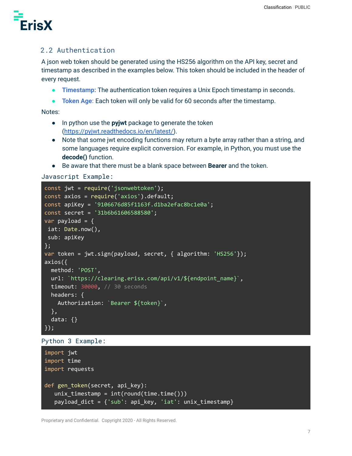

### <span id="page-6-0"></span>2.2 Authentication

A json web token should be generated using the HS256 algorithm on the API key, secret and timestamp as described in the examples below. This token should be included in the header of every request.

- **Timestamp:** The authentication token requires a Unix Epoch timestamp in seconds.
- **Token Age:** Each token will only be valid for 60 seconds after the timestamp.

Notes:

- In python use the **pyjwt** package to generate the token ([https://pyjwt.readthedocs.io/en/latest/\)](https://pyjwt.readthedocs.io/en/latest/).
- Note that some jwt encoding functions may return a byte array rather than a string, and some languages require explicit conversion. For example, in Python, you must use the **decode()** function.
- Be aware that there must be a blank space between **Bearer** and the token.

```
Javascript Example:
```

```
const jwt = require('jsonwebtoken');
const axios = require('axios').default;
const apiKey = '9106676d85f1163f.d1ba2efac8bc1e0a';
const secret = '31b6b61606588580';
var payload = \{iat: Date.now(),
sub: apiKey
};
var token = jwt.sign(payload, secret, { algorithm: 'HS256'});
axios({
 method: 'POST',
 url: `https://clearing.erisx.com/api/v1/${endpoint_name}`,
 timeout: 30000, // 30 seconds
 headers: {
   Authorization: `Bearer ${token}`,
 },
 data: {}
});
```

```
Python 3 Example:
```

```
import jwt
import time
import requests
def gen token(secret, api key):
   unix timestamp = int(round(time.time())payload_dict = {'sub': api_key, 'iat': unix_timestamp}
```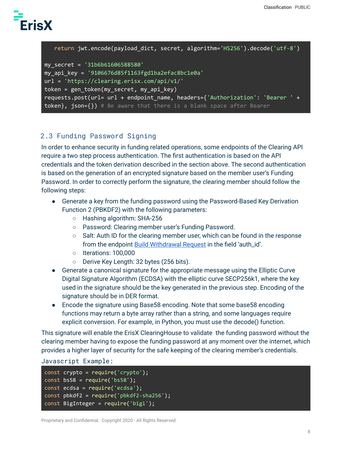

```
return jwt.encode(payload_dict, secret, algorithm='HS256').decode('utf-8')
```

```
my_secret = '31b6b61606588580'
my_api_key = '9106676d85f1163fgd1ba2efac8bc1e0a'
url = 'https://clearing.erisx.com/api/v1/'
token = gen token(my secret, my api key)
requests.post(url= url + endpoint_name, headers={'Authorization': 'Bearer ' +
token}, json={}) # Be aware that there is a blank space after Bearer
```
### <span id="page-7-1"></span><span id="page-7-0"></span>2.3 Funding Password Signing

In order to enhance security in funding related operations, some endpoints of the Clearing API require a two step process authentication. The first authentication is based on the API credentials and the token derivation described in the section above. The second authentication is based on the generation of an encrypted signature based on the member user's Funding Password. In order to correctly perform the signature, the clearing member should follow the following steps:

- Generate a key from the funding password using the Password-Based Key Derivation Function 2 (PBKDF2) with the following parameters:
	- Hashing algorithm: SHA-256
	- Password: Clearing member user's Funding Password.
	- $\circ$  Salt: Auth ID for the clearing member user, which can be found in the response from the endpoint Build [Withdrawal](#page-38-1) Request in the field 'auth\_id'.
	- Iterations: 100,000
	- Derive Key Length: 32 bytes (256 bits).
- Generate a canonical signature for the appropriate message using the Elliptic Curve Digital Signature Algorithm (ECDSA) with the elliptic curve SECP256k1, where the key used in the signature should be the key generated in the previous step. Encoding of the signature should be in DER format.
- Encode the signature using Base58 encoding. Note that some base58 encoding functions may return a byte array rather than a string, and some languages require explicit conversion. For example, in Python, you must use the decode() function.

This signature will enable the ErisX ClearingHouse to validate the funding password without the clearing member having to expose the funding password at any moment over the internet, which provides a higher layer of security for the safe keeping of the clearing member's credentials.

```
Javascript Example:
```

```
const crypto = require('crypto');
const bs58 = require('bs58');
const ecdsa = require('ecdsa');
const pbkdf2 = require('pbkdf2-sha256');const BigInteger = require('bigi');
```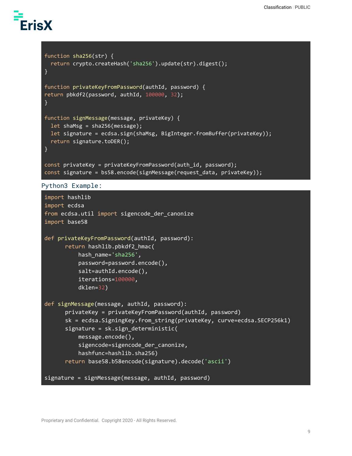```
function sha256(str) {
  return crypto.createHash('sha256').update(str).digest();
}
function privateKeyFromPassword(authId, password) {
return pbkdf2(password, authId, 100000, 32);
}
function signMessage(message, privateKey) {
  let shaMsg = sha256(message);
  let signature = ecdsa.sign(shaMsg, BigInteger.fromBuffer(privateKey));
  return signature.toDER();
}
const privateKey = privateKeyFromPassword(auth_id, password);
const signature = bs58.encode(signMessage(request_data, privateKey));
Python3 Example:
import hashlib
import ecdsa
from ecdsa.util import sigencode der canonize
import base58
def privateKeyFromPassword(authId, password):
       return hashlib.pbkdf2_hmac(
```

```
hash name='sha256',
          password=password.encode(),
          salt=authId.encode(),
          iterations=100000,
          dklen=32)
def signMessage(message, authId, password):
      privateKey = privateKeyFromPassword(authId, password)
      sk = ecdsa.SigningKey.from_string(privateKey, curve=ecdsa.SECP256k1)
      signature = sk.sizen deterministic(
          message.encode(),
          sigencode=sigencode der canonize,
          hashfunc=hashlib.sha256)
      return base58.b58encode(signature).decode('ascii')
signature = signMessage(message, authId, password)
```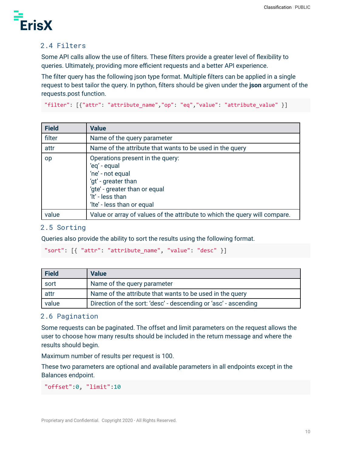

### <span id="page-9-0"></span>2.4 Filters

Some API calls allow the use of filters. These filters provide a greater level of flexibility to queries. Ultimately, providing more efficient requests and a better API experience.

The filter query has the following json type format. Multiple filters can be applied in a single request to best tailor the query. In python, filters should be given under the **json** argument of the requests.post function.

```
"filter": [{"attr": "attribute_name","op": "eq","value": "attribute_value" }]
```

| <b>Field</b> | <b>Value</b>                                                                                                                                                                   |
|--------------|--------------------------------------------------------------------------------------------------------------------------------------------------------------------------------|
| filter       | Name of the query parameter                                                                                                                                                    |
| attr         | Name of the attribute that wants to be used in the query                                                                                                                       |
| <b>op</b>    | Operations present in the query:<br>'eq' - equal<br>'ne' - not equal<br>'gt' - greater than<br>'gte' - greater than or equal<br>'It' - less than<br>'Ite' - less than or equal |
| value        | Value or array of values of the attribute to which the query will compare.                                                                                                     |

#### <span id="page-9-1"></span>2.5 Sorting

Queries also provide the ability to sort the results using the following format.

```
"sort": [{ "attr": "attribute name", "value": "desc" }]
```

| <b>Field</b> | <b>Value</b>                                                    |
|--------------|-----------------------------------------------------------------|
| sort         | Name of the query parameter                                     |
| attr         | Name of the attribute that wants to be used in the query        |
| value        | Direction of the sort: 'desc' - descending or 'asc' - ascending |

#### <span id="page-9-2"></span>2.6 Pagination

Some requests can be paginated. The offset and limit parameters on the request allows the user to choose how many results should be included in the return message and where the results should begin.

Maximum number of results per request is 100.

These two parameters are optional and available parameters in all endpoints except in the Balances endpoint.

```
"offset":0, "limit":10
```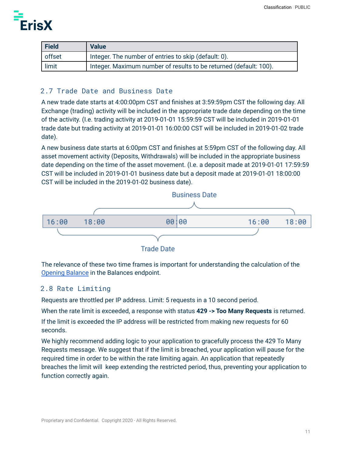

| <b>Field</b> | <b>Value</b>                                                      |
|--------------|-------------------------------------------------------------------|
| offset       | Integer. The number of entries to skip (default: 0).              |
| limit        | Integer. Maximum number of results to be returned (default: 100). |

### <span id="page-10-0"></span>2.7 Trade Date and Business Date

A new trade date starts at 4:00:00pm CST and finishes at 3:59:59pm CST the following day. All Exchange (trading) activity will be included in the appropriate trade date depending on the time of the activity. (I.e. trading activity at 2019-01-01 15:59:59 CST will be included in 2019-01-01 trade date but trading activity at 2019-01-01 16:00:00 CST will be included in 2019-01-02 trade date).

A new business date starts at 6:00pm CST and finishes at 5:59pm CST of the following day. All asset movement activity (Deposits, Withdrawals) will be included in the appropriate business date depending on the time of the asset movement. (I.e. a deposit made at 2019-01-01 17:59:59 CST will be included in 2019-01-01 business date but a deposit made at 2019-01-01 18:00:00 CST will be included in the 2019-01-02 business date).



**Trade Date** 

The relevance of these two time frames is important for understanding the calculation of the [Opening](#page-12-0) Balance in the Balances endpoint.

#### <span id="page-10-1"></span>2.8 Rate Limiting

Requests are throttled per IP address. Limit: 5 requests in a 10 second period.

When the rate limit is exceeded, a response with status **429 -> Too Many Requests** is returned.

If the limit is exceeded the IP address will be restricted from making new requests for 60 seconds.

We highly recommend adding logic to your application to gracefully process the 429 To Many Requests message. We suggest that if the limit is breached, your application will pause for the required time in order to be within the rate limiting again. An application that repeatedly breaches the limit will keep extending the restricted period, thus, preventing your application to function correctly again.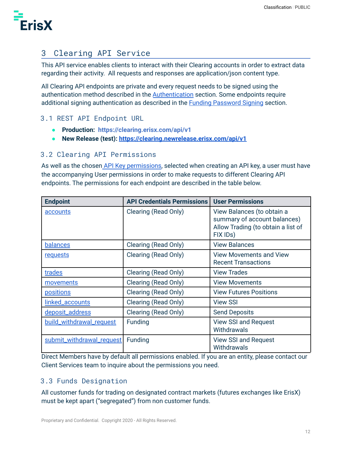

# <span id="page-11-0"></span>3 Clearing API Service

This API service enables clients to interact with their Clearing accounts in order to extract data regarding their activity. All requests and responses are application/json content type.

All Clearing API endpoints are private and every request needs to be signed using the authentication method described in the **[Authentication](#page-6-0)** section. Some endpoints require additional signing authentication as described in the **Funding [Password](#page-7-1) Signing section**.

### <span id="page-11-1"></span>3.1 REST API Endpoint URL

- **● Production: https://clearing.erisx.com/api/v1**
- **● New Release (test): <https://clearing.newrelease.erisx.com/api/v1>**

#### <span id="page-11-2"></span>3.2 Clearing API Permissions

As well as the chosen API Key [permissions,](https://docs.google.com/document/d/1qkhtmMNFmNxKMXO7ZfGFCV0xgYzSmR1VldmQQ_74fcs/edit#heading=h.6bttjwv7yus4) selected when creating an API key, a user must have the accompanying User permissions in order to make requests to different Clearing API endpoints. The permissions for each endpoint are described in the table below.

| <b>Endpoint</b>           | <b>API Credentials Permissions</b> | <b>User Permissions</b>                                                                                      |
|---------------------------|------------------------------------|--------------------------------------------------------------------------------------------------------------|
| <u>accounts</u>           | Clearing (Read Only)               | View Balances (to obtain a<br>summary of account balances)<br>Allow Trading (to obtain a list of<br>FIX IDs) |
| <b>balances</b>           | Clearing (Read Only)               | <b>View Balances</b>                                                                                         |
| requests                  | Clearing (Read Only)               | <b>View Movements and View</b><br><b>Recent Transactions</b>                                                 |
| trades                    | Clearing (Read Only)               | <b>View Trades</b>                                                                                           |
| movements                 | Clearing (Read Only)               | <b>View Movements</b>                                                                                        |
| <b>positions</b>          | Clearing (Read Only)               | <b>View Futures Positions</b>                                                                                |
| linked_accounts           | Clearing (Read Only)               | <b>View SSI</b>                                                                                              |
| deposit_address           | Clearing (Read Only)               | <b>Send Deposits</b>                                                                                         |
| build_withdrawal_request  | <b>Funding</b>                     | <b>View SSI and Request</b><br>Withdrawals                                                                   |
| submit_withdrawal_request | <b>Funding</b>                     | <b>View SSI and Request</b><br>Withdrawals                                                                   |

Direct Members have by default all permissions enabled. If you are an entity, please contact our Client Services team to inquire about the permissions you need.

### <span id="page-11-3"></span>3.3 Funds Designation

All customer funds for trading on designated contract markets (futures exchanges like ErisX) must be kept apart ("segregated") from non customer funds.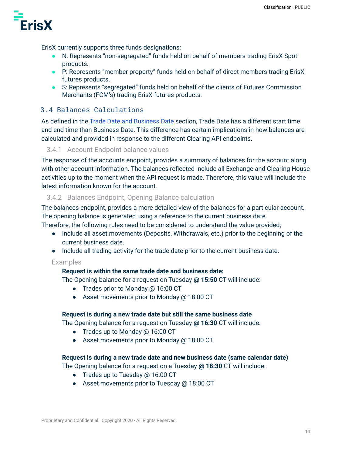

ErisX currently supports three funds designations:

- N: Represents "non-segregated" funds held on behalf of members trading ErisX Spot products.
- P: Represents "member property" funds held on behalf of direct members trading ErisX futures products.
- S: Represents "segregated" funds held on behalf of the clients of Futures Commission Merchants (FCM's) trading ErisX futures products.

### <span id="page-12-0"></span>3.4 Balances Calculations

As defined in the Trade Date and [Business](#page-10-0) Date section, Trade Date has a different start time and end time than Business Date. This difference has certain implications in how balances are calculated and provided in response to the different Clearing API endpoints.

#### <span id="page-12-1"></span>3.4.1 Account Endpoint balance values

The response of the accounts endpoint, provides a summary of balances for the account along with other account information. The balances reflected include all Exchange and Clearing House activities up to the moment when the API request is made. Therefore, this value will include the latest information known for the account.

### <span id="page-12-2"></span>3.4.2 Balances Endpoint, Opening Balance calculation

The balances endpoint, provides a more detailed view of the balances for a particular account. The opening balance is generated using a reference to the current business date.

Therefore, the following rules need to be considered to understand the value provided;

- Include all asset movements (Deposits, Withdrawals, etc.) prior to the beginning of the current business date.
- Include all trading activity for the trade date prior to the current business date.

#### Examples

#### **Request is within the same trade date and business date:**

The Opening balance for a request on Tuesday **@ 15:50** CT will include:

- Trades prior to Monday @ 16:00 CT
- Asset movements prior to Monday @ 18:00 CT

#### **Request is during a new trade date but still the same business date**

The Opening balance for a request on Tuesday **@ 16:30** CT will include:

- Trades up to Monday @ 16:00 CT
- Asset movements prior to Monday @ 18:00 CT

#### **Request is during a new trade date and new business date (same calendar date)**

The Opening balance for a request on a Tuesday **@ 18:30** CT will include:

- Trades up to Tuesday @ 16:00 CT
- Asset movements prior to Tuesday @ 18:00 CT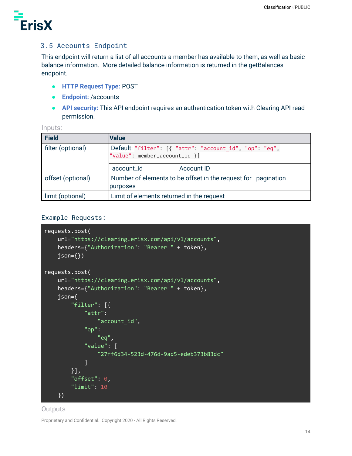

### <span id="page-13-0"></span>3.5 Accounts Endpoint

This endpoint will return a list of all accounts a member has available to them, as well as basic balance information. More detailed balance information is returned in the getBalances endpoint.

- **HTTP Request Type:** POST
- **Endpoint:** /accounts
- **API security:** This API endpoint requires an authentication token with Clearing API read permission.

|  |  |  | _____ |  |
|--|--|--|-------|--|

| <b>Field</b>      | <b>Value</b>                                                                             |                   |
|-------------------|------------------------------------------------------------------------------------------|-------------------|
| filter (optional) | Default: "filter": [{ "attr": "account_id", "op": "eq",<br>"value": member_account_id }] |                   |
|                   | account_id                                                                               | <b>Account ID</b> |
| offset (optional) | Number of elements to be offset in the request for pagination<br>purposes                |                   |
| limit (optional)  | Limit of elements returned in the request                                                |                   |

#### Example Requests:

```
requests.post(
   url="https://clearing.erisx.com/api/v1/accounts",
   headers={"Authorization": "Bearer " + token},
   json=\{\}requests.post(
    url="https://clearing.erisx.com/api/v1/accounts",
   headers={"Authorization": "Bearer " + token},
   json={
        "filter": [{
            "attr":
                "account_id",
            "op":
                "eq",
            "value": [
                "27ff6d34-523d-476d-9ad5-edeb373b83dc"
            ]
        }],
        "offset": 0,
        "limit": 10
   })
```
#### **Outputs**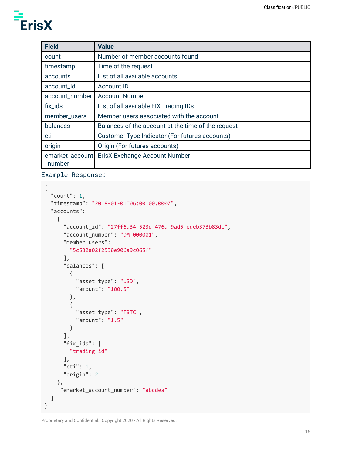| <b>Field</b>                  | <b>Value</b>                                       |
|-------------------------------|----------------------------------------------------|
| count                         | Number of member accounts found                    |
| timestamp                     | Time of the request                                |
| accounts                      | List of all available accounts                     |
| account_id                    | <b>Account ID</b>                                  |
| account_number                | <b>Account Number</b>                              |
| fix_ids                       | List of all available FIX Trading IDs              |
| member_users                  | Member users associated with the account           |
| balances                      | Balances of the account at the time of the request |
| cti                           | Customer Type Indicator (For futures accounts)     |
| origin                        | Origin (For futures accounts)                      |
| emarket_account<br>$\_number$ | ErisX Exchange Account Number                      |

#### Example Response:

```
{
  "count": 1,
  "timestamp": "2018-01-01T06:00:00.000Z",
  "accounts": [
    {
      "account_id": "27ff6d34-523d-476d-9ad5-edeb373b83dc",
      "account_number": "DM-000001",
      "member_users": [
        "5c532a02f2530e906a9c065f"
      ],
      "balances": [
        {
          "asset_type": "USD",
          "amount": "100.5"
        },
        {
          "asset_type": "TBTC",
          "amount": "1.5"
       }
      ],
      "fix_ids": [
       "trading_id"
      ],
      "cti": 1,
      "origin": 2
    },
     "emarket_account_number": "abcdea"
  ]
}
```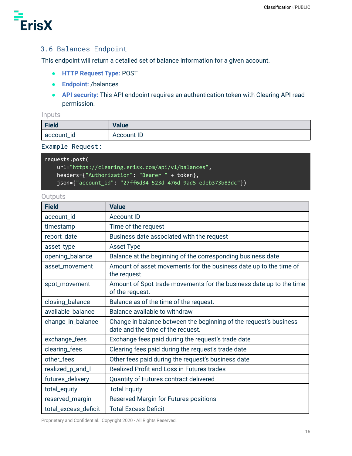

## <span id="page-15-0"></span>3.6 Balances Endpoint

This endpoint will return a detailed set of balance information for a given account.

- **HTTP Request Type:** POST
- **Endpoint:** /balances
- **API security:** This API endpoint requires an authentication token with Clearing API read permission.

#### Inputs

| Field      | <b>Value</b>      |
|------------|-------------------|
| account_id | <b>Account ID</b> |

#### Example Request:

| requests.post(                                                |
|---------------------------------------------------------------|
| url="https://clearing.erisx.com/api/v1/balances",             |
| headers={"Authorization": "Bearer " + token},                 |
| 'json={"account_id": "27ff6d34-523d-476d-9ad5-edeb373b83dc"}) |

#### **Outputs**

| <b>Field</b>         | <b>Value</b>                                                                                           |  |  |
|----------------------|--------------------------------------------------------------------------------------------------------|--|--|
| account_id           | <b>Account ID</b>                                                                                      |  |  |
| timestamp            | Time of the request                                                                                    |  |  |
| report_date          | Business date associated with the request                                                              |  |  |
| asset_type           | <b>Asset Type</b>                                                                                      |  |  |
| opening_balance      | Balance at the beginning of the corresponding business date                                            |  |  |
| asset_movement       | Amount of asset movements for the business date up to the time of<br>the request.                      |  |  |
| spot_movement        | Amount of Spot trade movements for the business date up to the time<br>of the request.                 |  |  |
| closing_balance      | Balance as of the time of the request.                                                                 |  |  |
| available_balance    | Balance available to withdraw                                                                          |  |  |
| change_in_balance    | Change in balance between the beginning of the request's business<br>date and the time of the request. |  |  |
| exchange_fees        | Exchange fees paid during the request's trade date                                                     |  |  |
| clearing_fees        | Clearing fees paid during the request's trade date                                                     |  |  |
| other_fees           | Other fees paid during the request's business date                                                     |  |  |
| realized_p_and_l     | Realized Profit and Loss in Futures trades                                                             |  |  |
| futures_delivery     | Quantity of Futures contract delivered                                                                 |  |  |
| total_equity         | <b>Total Equity</b>                                                                                    |  |  |
| reserved_margin      | Reserved Margin for Futures positions                                                                  |  |  |
| total_excess_deficit | <b>Total Excess Deficit</b>                                                                            |  |  |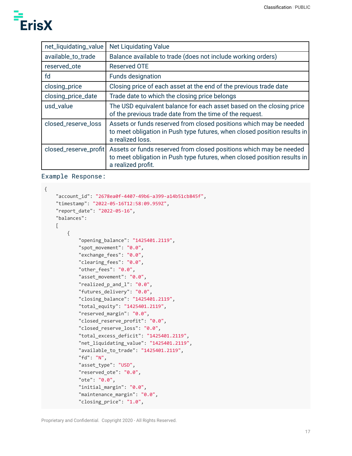| net_liquidating_value | <b>Net Liquidating Value</b>                                                                                                                                         |
|-----------------------|----------------------------------------------------------------------------------------------------------------------------------------------------------------------|
| available_to_trade    | Balance available to trade (does not include working orders)                                                                                                         |
| reserved_ote          | <b>Reserved OTE</b>                                                                                                                                                  |
| fd                    | <b>Funds designation</b>                                                                                                                                             |
| closing_price         | Closing price of each asset at the end of the previous trade date                                                                                                    |
| closing_price_date    | Trade date to which the closing price belongs                                                                                                                        |
| usd_value             | The USD equivalent balance for each asset based on the closing price<br>of the previous trade date from the time of the request.                                     |
| closed_reserve_loss   | Assets or funds reserved from closed positions which may be needed<br>to meet obligation in Push type futures, when closed position results in<br>a realized loss.   |
| closed_reserve_profit | Assets or funds reserved from closed positions which may be needed<br>to meet obligation in Push type futures, when closed position results in<br>a realized profit. |

#### Example Response:

```
{
    "account_id": "2678ea0f-4407-49b6-a399-a14b51cb845f",
    "timestamp": "2022-05-16T12:58:09.959Z",
    "report_date": "2022-05-16",
    "balances":
    \Gamma{
            "opening_balance": "1425401.2119",
            "spot_movement": "0.0",
            "exchange_fees": "0.0",
            "clearing_fees": "0.0",
            "other_fees": "0.0",
            "asset_movement": "0.0",
            "realized_p_and_l": "0.0",
            "futures_delivery": "0.0",
            "closing_balance": "1425401.2119",
            "total_equity": "1425401.2119",
            "reserved_margin": "0.0",
            "closed_reserve_profit": "0.0",
            "closed_reserve_loss": "0.0",
            "total_excess_deficit": "1425401.2119",
            "net_liquidating_value": "1425401.2119",
            "available_to_trade": "1425401.2119",
            "fd": "N",
            "asset_type": "USD",
            "reserved_ote": "0.0",
            "ote": "0.0",
            "initial margin": "0.0",
            "maintenance_margin": "0.0",
            "closing_price": "1.0",
```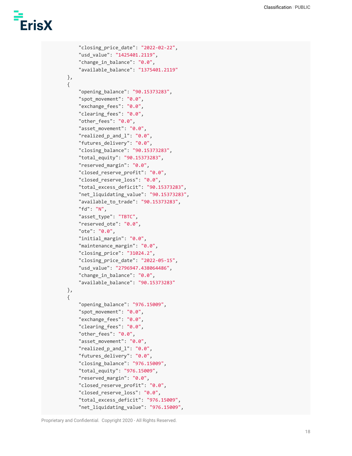```
"closing_price_date": "2022-02-22",
    "usd_value": "1425401.2119",
    "change_in_balance": "0.0",
    "available_balance": "1375401.2119"
},
{
    "opening_balance": "90.15373283",
    "spot_movement": "0.0",
    "exchange_fees": "0.0",
    "clearing_fees": "0.0",
    "other_fees": "0.0",
    "asset_movement": "0.0",
    "realized_p_and_l": "0.0",
    "futures_delivery": "0.0",
    "closing_balance": "90.15373283",
    "total_equity": "90.15373283",
    "reserved margin": "0.0",
    "closed_reserve_profit": "0.0",
    "closed_reserve_loss": "0.0",
    "total_excess_deficit": "90.15373283",
    "net_liquidating_value": "90.15373283",
    "available_to_trade": "90.15373283",
    "fd": "N",
    "asset_type": "TBTC",
    "reserved_ote": "0.0",
    "ote": "0.0",
    "initial margin": "0.0",
    "maintenance_margin": "0.0",
    "closing_price": "31024.2",
    "closing_price_date": "2022-05-15",
    "usd_value": "2796947.438064486",
    "change_in_balance": "0.0",
    "available_balance": "90.15373283"
},
{
    "opening_balance": "976.15009",
    "spot_movement": "0.0",
    "exchange_fees": "0.0",
    "clearing fees": "0.0",
    "other_fees": "0.0",
    "asset_movement": "0.0",
    "realized_p_and_l": "0.0",
    "futures_delivery": "0.0",
    "closing_balance": "976.15009",
    "total_equity": "976.15009",
    "reserved margin": "0.0",
    "closed_reserve_profit": "0.0",
    "closed_reserve_loss": "0.0",
    "total_excess_deficit": "976.15009",
    "net_liquidating_value": "976.15009",
```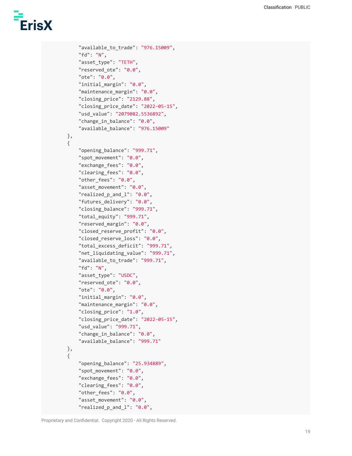```
"available_to_trade": "976.15009",
    "fd": "N",
    "asset_type": "TETH",
    "reserved_ote": "0.0",
    "ote": "0.0",
    "initial_margin": "0.0",
    "maintenance_margin": "0.0",
    "closing_price": "2129.88",
    "closing_price_date": "2022-05-15",
    "usd_value": "2079082.5536892",
    "change_in_balance": "0.0",
    "available_balance": "976.15009"
},
{
    "opening_balance": "999.71",
    "spot_movement": "0.0",
    "exchange fees": "0.0",
    "clearing_fees": "0.0",
    "other_fees": "0.0",
    "asset_movement": "0.0",
    "realized_p_and_l": "0.0",
    "futures delivery": "0.0",
    "closing_balance": "999.71",
    "total_equity": "999.71",
    "reserved_margin": "0.0",
    "closed_reserve_profit": "0.0",
    "closed reserve loss": "0.0",
    "total_excess_deficit": "999.71",
    "net_liquidating_value": "999.71",
    "available_to_trade": "999.71",
    "fd": "N",
    "asset_type": "USDC",
    "reserved_ote": "0.0",
    "ote": "0.0",
    "initial_margin": "0.0",
    "maintenance_margin": "0.0",
    "closing_price": "1.0",
    "closing_price_date": "2022-05-15",
    "usd_value": "999.71",
    "change_in_balance": "0.0",
    "available_balance": "999.71"
},
{
    "opening_balance": "25.934889",
    "spot_movement": "0.0",
    "exchange fees": "0.0",
    "clearing_fees": "0.0",
    "other_fees": "0.0",
    "asset_movement": "0.0",
    "realized_p_and_l": "0.0",
```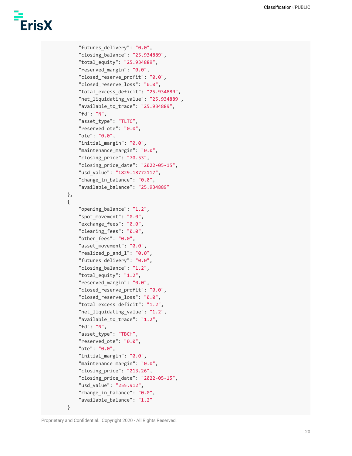```
"futures_delivery": "0.0",
    "closing_balance": "25.934889",
    "total_equity": "25.934889",
    "reserved_margin": "0.0",
    "closed reserve profit": "0.0",
    "closed_reserve_loss": "0.0",
    "total_excess_deficit": "25.934889",
    "net_liquidating_value": "25.934889",
    "available_to_trade": "25.934889",
    "fd": "N",
    "asset_type": "TLTC",
    "reserved_ote": "0.0",
    "ote": "0.0",
    "initial_margin": "0.0",
    "maintenance_margin": "0.0",
    "closing_price": "70.53",
    "closing_price_date": "2022-05-15",
    "usd_value": "1829.18772117",
    "change_in_balance": "0.0",
    "available_balance": "25.934889"
},
{
    "opening_balance": "1.2",
    "spot_movement": "0.0",
    "exchange_fees": "0.0",
    "clearing_fees": "0.0",
    "other_fees": "0.0",
    "asset movement": "0.0",
    "realized_p_and_l": "0.0",
    "futures_delivery": "0.0",
    "closing_balance": "1.2",
    "total_equity": "1.2",
    "reserved_margin": "0.0",
    "closed reserve profit": "0.0",
    "closed_reserve_loss": "0.0",
    "total_excess_deficit": "1.2",
    "net_liquidating_value": "1.2",
    "available_to_trade": "1.2",
    "fd": "N",
    "asset type": "TBCH",
    "reserved_ote": "0.0",
    "ote": "0.0",
    "initial_margin": "0.0",
    "maintenance_margin": "0.0",
    "closing_price": "213.26",
    "closing_price_date": "2022-05-15",
    "usd_value": "255.912",
    "change_in_balance": "0.0",
    "available_balance": "1.2"
```
}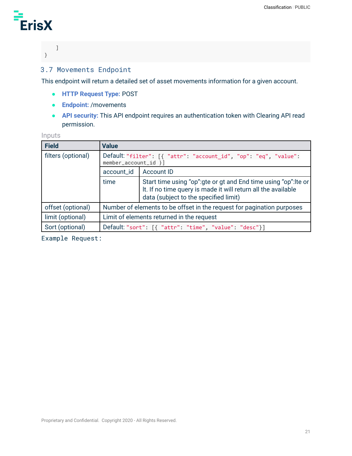

### ] }

## <span id="page-20-0"></span>3.7 Movements Endpoint

This endpoint will return a detailed set of asset movements information for a given account.

- **HTTP Request Type:** POST
- **Endpoint:** /movements
- **API security:** This API endpoint requires an authentication token with Clearing API read permission.

#### Inputs

| <b>Field</b>       | <b>Value</b>                                                                             |                                                                                                                                                                            |  |
|--------------------|------------------------------------------------------------------------------------------|----------------------------------------------------------------------------------------------------------------------------------------------------------------------------|--|
| filters (optional) | Default: "filter": [{ "attr": "account_id", "op": "eq", "value":<br>member_account_id }] |                                                                                                                                                                            |  |
|                    | account_id<br>Account ID                                                                 |                                                                                                                                                                            |  |
|                    | time                                                                                     | Start time using "op": gte or gt and End time using "op": Ite or<br>It. If no time query is made it will return all the available<br>data (subject to the specified limit) |  |
| offset (optional)  | Number of elements to be offset in the request for pagination purposes                   |                                                                                                                                                                            |  |
| limit (optional)   | Limit of elements returned in the request                                                |                                                                                                                                                                            |  |
| Sort (optional)    | Default: "sort": [{ "attr": "time", "value": "desc"}]                                    |                                                                                                                                                                            |  |

Example Request: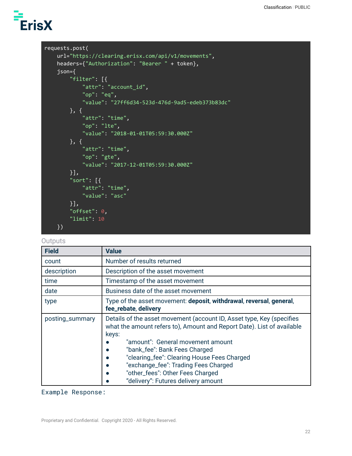```
requests.post(
   url="https://clearing.erisx.com/api/v1/movements",
   headers={"Authorization": "Bearer " + token},
   json={
       "filter": [{
            "attr": "account_id",
           "op": "eq",
            "value": "27ff6d34-523d-476d-9ad5-edeb373b83dc"
       }, {
           "attr": "time",
            "op": "lte",
            "value": "2018-01-01T05:59:30.000Z"
       }, {
           "attr": "time",
            "op": "gte",
            "value": "2017-12-01T05:59:30.000Z"
       }],
        "sort": [{
           "attr": "time",
            "value": "asc"
       }],
       "offset": 0,
       "limit": 10
   })
```
#### **Outputs**

| <b>Field</b>    | <b>Value</b>                                                                                                                                                                                                                                                                                                                                                                                                                                         |  |  |
|-----------------|------------------------------------------------------------------------------------------------------------------------------------------------------------------------------------------------------------------------------------------------------------------------------------------------------------------------------------------------------------------------------------------------------------------------------------------------------|--|--|
| count           | Number of results returned                                                                                                                                                                                                                                                                                                                                                                                                                           |  |  |
| description     | Description of the asset movement                                                                                                                                                                                                                                                                                                                                                                                                                    |  |  |
| time            | Timestamp of the asset movement                                                                                                                                                                                                                                                                                                                                                                                                                      |  |  |
| date            | Business date of the asset movement                                                                                                                                                                                                                                                                                                                                                                                                                  |  |  |
| type            | Type of the asset movement: deposit, withdrawal, reversal, general,<br>fee_rebate, delivery                                                                                                                                                                                                                                                                                                                                                          |  |  |
| posting_summary | Details of the asset movement (account ID, Asset type, Key (specifies<br>what the amount refers to), Amount and Report Date). List of available<br>keys:<br>"amount": General movement amount<br>"bank_fee": Bank Fees Charged<br>$\bullet$<br>"clearing_fee": Clearing House Fees Charged<br>$\bullet$<br>"exchange_fee": Trading Fees Charged<br>$\bullet$<br>"other_fees": Other Fees Charged<br>$\bullet$<br>"delivery": Futures delivery amount |  |  |

Example Response: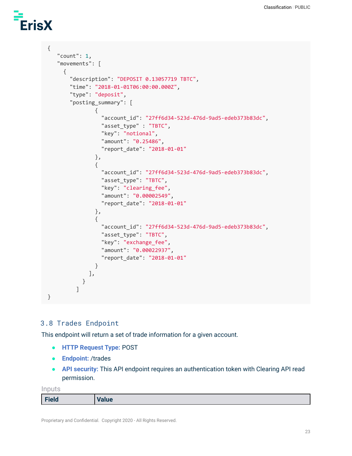```
{
   "count": 1,
   "movements": [
     {
       "description": "DEPOSIT 0.13057719 TBTC",
       "time": "2018-01-01T06:00:00.000Z",
       "type": "deposit",
       "posting_summary": [
               {
                 "account_id": "27ff6d34-523d-476d-9ad5-edeb373b83dc",
                 "asset_type" : "TBTC",
                 "key": "notional",
                 "amount": "0.25486",
                 "report_date": "2018-01-01"
               },
               {
                 "account_id": "27ff6d34-523d-476d-9ad5-edeb373b83dc",
                 "asset_type": "TBTC",
                 "key": "clearing_fee",
                 "amount": "0.00002549",
                 "report_date": "2018-01-01"
               },
               {
                 "account_id": "27ff6d34-523d-476d-9ad5-edeb373b83dc",
                 "asset_type": "TBTC",
                 "key": "exchange_fee",
                 "amount": "0.00022937",
                 "report_date": "2018-01-01"
               }
             ],
           }
         ]
}
```
### <span id="page-22-0"></span>3.8 Trades Endpoint

This endpoint will return a set of trade information for a given account.

- **HTTP Request Type:** POST
- **Endpoint:** /trades
- **API security:** This API endpoint requires an authentication token with Clearing API read permission.

Inputs

| Field | Value |
|-------|-------|
|       |       |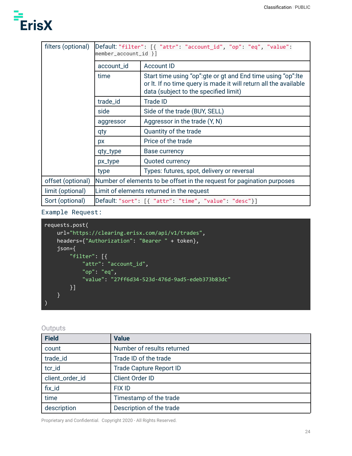| filters (optional) | Default: "filter": [{ "attr": "account_id", "op": "eq", "value":<br>$member_account_id)$ ] |                                                                                                                                                                            |  |  |
|--------------------|--------------------------------------------------------------------------------------------|----------------------------------------------------------------------------------------------------------------------------------------------------------------------------|--|--|
|                    | account_id                                                                                 | <b>Account ID</b>                                                                                                                                                          |  |  |
|                    | time                                                                                       | Start time using "op": gte or gt and End time using "op": Ite<br>or It. If no time query is made it will return all the available<br>data (subject to the specified limit) |  |  |
|                    | trade_id                                                                                   | <b>Trade ID</b>                                                                                                                                                            |  |  |
|                    | side                                                                                       | Side of the trade (BUY, SELL)                                                                                                                                              |  |  |
|                    | aggressor                                                                                  | Aggressor in the trade (Y, N)                                                                                                                                              |  |  |
|                    | qty                                                                                        | Quantity of the trade                                                                                                                                                      |  |  |
|                    | px                                                                                         | Price of the trade                                                                                                                                                         |  |  |
|                    | qty_type                                                                                   | Base currency                                                                                                                                                              |  |  |
|                    | px_type                                                                                    | Quoted currency                                                                                                                                                            |  |  |
|                    | Types: futures, spot, delivery or reversal<br>type                                         |                                                                                                                                                                            |  |  |
| offset (optional)  | Number of elements to be offset in the request for pagination purposes                     |                                                                                                                                                                            |  |  |
| limit (optional)   | Limit of elements returned in the request                                                  |                                                                                                                                                                            |  |  |
| Sort (optional)    | Default: "sort": [{ "attr": "time", "value": "desc"}]                                      |                                                                                                                                                                            |  |  |

Example Request:

```
requests.post(
    url="https://clearing.erisx.com/api/v1/trades",
    headers={"Authorization": "Bearer " + token},
    json={
        "filter": [{
            "attr": "account_id",
            "op": "eq",
            "value": "27ff6d34-523d-476d-9ad5-edeb373b83dc"
        }]
    }
)
```
#### **Outputs**

| <b>Field</b>    | <b>Value</b>                   |  |
|-----------------|--------------------------------|--|
| count           | Number of results returned     |  |
| trade_id        | Trade ID of the trade          |  |
| tcr_id          | <b>Trade Capture Report ID</b> |  |
| client_order_id | <b>Client Order ID</b>         |  |
| fix_id          | <b>FIX ID</b>                  |  |
| time            | Timestamp of the trade         |  |
| description     | Description of the trade       |  |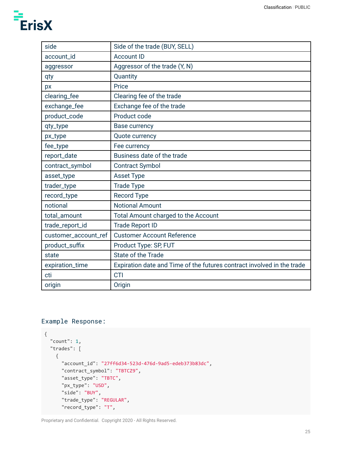| side                 | Side of the trade (BUY, SELL)                                          |  |  |
|----------------------|------------------------------------------------------------------------|--|--|
| account_id           | <b>Account ID</b>                                                      |  |  |
| aggressor            | Aggressor of the trade (Y, N)                                          |  |  |
| qty                  | Quantity                                                               |  |  |
| px                   | Price                                                                  |  |  |
| clearing_fee         | Clearing fee of the trade                                              |  |  |
| exchange_fee         | Exchange fee of the trade                                              |  |  |
| product_code         | Product code                                                           |  |  |
| qty_type             | Base currency                                                          |  |  |
| px_type              | Quote currency                                                         |  |  |
| fee_type             | Fee currency                                                           |  |  |
| report_date          | Business date of the trade                                             |  |  |
| contract_symbol      | <b>Contract Symbol</b>                                                 |  |  |
| asset_type           | Asset Type                                                             |  |  |
| trader_type          | <b>Trade Type</b>                                                      |  |  |
| record_type          | <b>Record Type</b>                                                     |  |  |
| notional             | <b>Notional Amount</b>                                                 |  |  |
| total_amount         | <b>Total Amount charged to the Account</b>                             |  |  |
| trade_report_id      | <b>Trade Report ID</b>                                                 |  |  |
| customer_account_ref | <b>Customer Account Reference</b>                                      |  |  |
| product_suffix       | Product Type: SP, FUT                                                  |  |  |
| state                | State of the Trade                                                     |  |  |
| expiration_time      | Expiration date and Time of the futures contract involved in the trade |  |  |
| cti                  | <b>CTI</b>                                                             |  |  |
| origin               | Origin                                                                 |  |  |

### Example Response:

```
{
  "count": 1,
  "trades": [
   {
      "account_id": "27ff6d34-523d-476d-9ad5-edeb373b83dc",
      "contract_symbol": "TBTCZ9",
      "asset_type": "TBTC",
      "px_type": "USD",
      "side": "BUY",
      "trade_type": "REGULAR",
      "record_type": "T",
```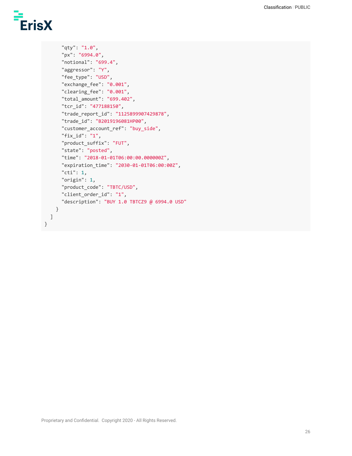}

```
"qty": "1.0",
    "px": "6994.0",
    "notional": "699.4",
    "aggressor": "Y",
    "fee_type": "USD",
    "exchange_fee": "0.001",
    "clearing_fee": "0.001",
    "total_amount": "699.402",
    "tcr_id": "477188150",
    "trade_report_id": "1125899907429878",
    "trade_id": "B2019196081HP00",
    "customer_account_ref": "buy_side",
    "fix_id": "1",
    "product_suffix": "FUT",
    "state": "posted",
    "time": "2018-01-01T06:00:00.000000Z",
    "expiration_time": "2030-01-01T06:00:00Z",
    "cti": 1,
    "origin": 1,
    "product_code": "TBTC/USD",
    "client_order_id": "1",
    "description": "BUY 1.0 TBTCZ9 @ 6994.0 USD"
  }
]
```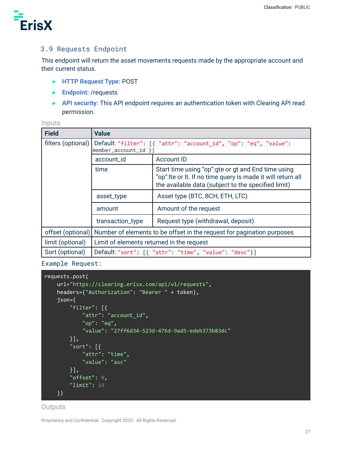

### <span id="page-26-0"></span>3.9 Requests Endpoint

This endpoint will return the asset movements requests made by the appropriate account and their current status.

- **HTTP Request Type:** POST
- **Endpoint:** /requests
- **API security:** This API endpoint requires an authentication token with Clearing API read permission.

|  |  |  | - - - - |  |
|--|--|--|---------|--|

| <b>Field</b>       | <b>Value</b>                                                                               |                                                                                                                                                                            |  |
|--------------------|--------------------------------------------------------------------------------------------|----------------------------------------------------------------------------------------------------------------------------------------------------------------------------|--|
| filters (optional) | Default: "filter": [{ "attr": "account_id", "op": "eq", "value":<br>$member_account_id$ }] |                                                                                                                                                                            |  |
|                    | account_id                                                                                 | Account ID                                                                                                                                                                 |  |
|                    | time                                                                                       | Start time using "op": gte or gt and End time using<br>"op": Ite or It. If no time query is made it will return all<br>the available data (subject to the specified limit) |  |
|                    | asset_type                                                                                 | Asset type (BTC, BCH, ETH, LTC)                                                                                                                                            |  |
|                    | amount                                                                                     | Amount of the request                                                                                                                                                      |  |
|                    | transaction_type                                                                           | Request type (withdrawal, deposit)                                                                                                                                         |  |
| offset (optional)  | Number of elements to be offset in the request for pagination purposes                     |                                                                                                                                                                            |  |
| limit (optional)   | Limit of elements returned in the request                                                  |                                                                                                                                                                            |  |
| Sort (optional)    | Default "sort": [{ "attr": "time", "value": "desc"}]                                       |                                                                                                                                                                            |  |

Example Request:

```
requests.post(
   url="https://clearing.erisx.com/api/v1/requests",
   headers={"Authorization": "Bearer " + token},
   json={
        "filter": [{
            "attr": "account_id",
            "op": "eq",
            "value": "27ff6d34-523d-476d-9ad5-edeb373b83dc"
       }],
        "sort": [{
            "attr": "time",
            "value": "asc"
       }],
        "offset": 0,
        "limit": 10
   })
```
#### **Outputs**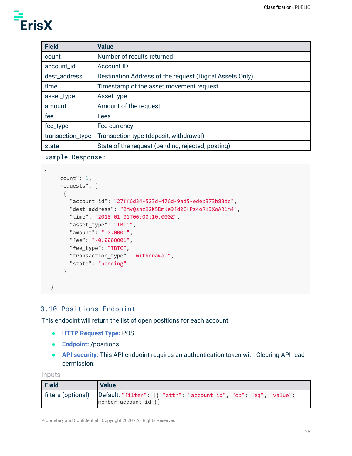| <b>Field</b>     | <b>Value</b>                                             |
|------------------|----------------------------------------------------------|
| count            | Number of results returned                               |
| account_id       | <b>Account ID</b>                                        |
| dest_address     | Destination Address of the request (Digital Assets Only) |
| time             | Timestamp of the asset movement request                  |
| asset_type       | Asset type                                               |
| amount           | Amount of the request                                    |
| fee              | Fees                                                     |
| fee_type         | Fee currency                                             |
| transaction_type | Transaction type (deposit, withdrawal)                   |
| state            | State of the request (pending, rejected, posting)        |

#### Example Response:

```
{
    "count": 1,
    "requests": [
      {
        "account_id": "27ff6d34-523d-476d-9ad5-edeb373b83dc",
        "dest_address": "2MvQsnz92K5DmKe9fd2GHPz4oRKJXoAR1m4",
        "time": "2018-01-01T06:00:10.000Z",
        "asset_type": "TBTC",
        "amount": "-0.0001",
        "fee": "-0.0000001",
        "fee_type": "TBTC",
        "transaction_type": "withdrawal",
        "state": "pending"
      }
    ]
  }
```
### <span id="page-27-0"></span>3.10 Positions Endpoint

This endpoint will return the list of open positions for each account.

- **HTTP Request Type:** POST
- **Endpoint:** /positions
- **API security:** This API endpoint requires an authentication token with Clearing API read permission.

Inputs

| Field | <b>Value</b>                                                                                                      |
|-------|-------------------------------------------------------------------------------------------------------------------|
|       | filters (optional)   Default: "filter": [{ "attr": "account_id", "op": "eq", "value":<br>$ member_account_id \} $ |
|       |                                                                                                                   |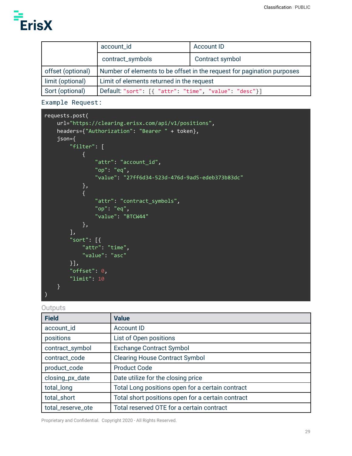

|                   | account_id                                                             | Account ID |
|-------------------|------------------------------------------------------------------------|------------|
|                   | contract_symbols<br>Contract symbol                                    |            |
| offset (optional) | Number of elements to be offset in the request for pagination purposes |            |
| limit (optional)  | Limit of elements returned in the request                              |            |
| Sort (optional)   | Default "sort": [{ "attr": "time", "value": "desc"}]                   |            |

Example Request:

```
requests.post(
   url="https://clearing.erisx.com/api/v1/positions",
   headers={"Authorization": "Bearer " + token},
   json={
        "filter": [
            {
                "attr": "account_id",
                "op": "eq",
                "value": "27ff6d34-523d-476d-9ad5-edeb373b83dc"
            },
            {
                "attr": "contract_symbols",
                "op": "eq",
                "value": "BTCW44"
            },
        ],
        "sort": [{
            "attr": "time",
            "value": "asc"
        }],
        "offset": 0,
        "limit": 10
    }
)
```
#### **Outputs**

| <b>Field</b>      | <b>Value</b>                                      |  |
|-------------------|---------------------------------------------------|--|
| account_id        | <b>Account ID</b>                                 |  |
| positions         | List of Open positions                            |  |
| contract_symbol   | <b>Exchange Contract Symbol</b>                   |  |
| contract_code     | <b>Clearing House Contract Symbol</b>             |  |
| product_code      | <b>Product Code</b>                               |  |
| closing_px_date   | Date utilize for the closing price                |  |
| total_long        | Total Long positions open for a certain contract  |  |
| total_short       | Total short positions open for a certain contract |  |
| total_reserve_ote | Total reserved OTE for a certain contract         |  |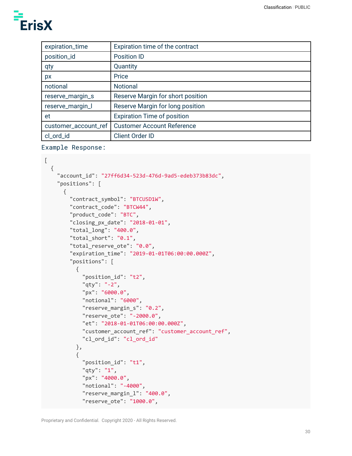| expiration_time      | Expiration time of the contract    |
|----------------------|------------------------------------|
| position_id          | <b>Position ID</b>                 |
| qty                  | Quantity                           |
| px                   | Price                              |
| notional             | <b>Notional</b>                    |
| reserve_margin_s     | Reserve Margin for short position  |
| reserve_margin_l     | Reserve Margin for long position   |
| et                   | <b>Expiration Time of position</b> |
| customer_account_ref | <b>Customer Account Reference</b>  |
| cl_ord_id            | <b>Client Order ID</b>             |

Example Response:

```
[
 {
    "account_id": "27ff6d34-523d-476d-9ad5-edeb373b83dc",
    "positions": [
     {
        "contract_symbol": "BTCUSD1W",
        "contract_code": "BTCW44",
        "product_code": "BTC",
        "closing_px_date": "2018-01-01",
        "total_long": "400.0",
        "total_short": "0.1",
        "total_reserve_ote": "0.0",
        "expiration_time": "2019-01-01T06:00:00.000Z",
        "positions": [
          {
            "position_id": "t2",
            "qty": "-2",
            "px": "6000.0",
            "notional": "6000",
            "reserve_margin_s": "0.2",
            "reserve_ote": "-2000.0",
            "et": "2018-01-01T06:00:00.000Z",
            "customer_account_ref": "customer_account_ref",
            "cl_ord_id": "cl_ord_id"
          },
          {
            "position_id": "t1",
            "qty": "1",
            "px": "4000.0",
            "notional": "-4000",
            "reserve_margin_l": "400.0",
            "reserve_ote": "1000.0",
```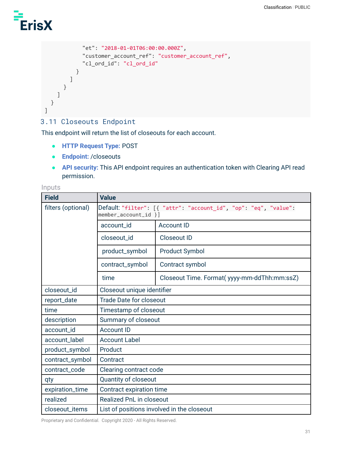

```
"et": "2018-01-01T06:00:00.000Z",
            "customer_account_ref": "customer_account_ref",
            "cl_ord_id": "cl_ord_id"
          }
        ]
      }
   ]
 }
]
```
## <span id="page-30-0"></span>3.11 Closeouts Endpoint

This endpoint will return the list of closeouts for each account.

- **HTTP Request Type:** POST
- **Endpoint:** /closeouts
- **API security:** This API endpoint requires an authentication token with Clearing API read permission.

#### Inputs

| <b>Field</b>       | <b>Value</b>                                                                             |                                             |  |
|--------------------|------------------------------------------------------------------------------------------|---------------------------------------------|--|
| filters (optional) | Default: "filter": [{ "attr": "account_id", "op": "eq", "value":<br>member_account_id }] |                                             |  |
|                    | account_id                                                                               | <b>Account ID</b>                           |  |
|                    | closeout_id                                                                              | <b>Closeout ID</b>                          |  |
|                    | product_symbol                                                                           | <b>Product Symbol</b>                       |  |
|                    | contract_symbol                                                                          | Contract symbol                             |  |
|                    | time                                                                                     | Closeout Time. Format(yyyy-mm-ddThh:mm:ssZ) |  |
| closeout_id        | Closeout unique identifier                                                               |                                             |  |
| report_date        | <b>Trade Date for closeout</b>                                                           |                                             |  |
| time               | Timestamp of closeout                                                                    |                                             |  |
| description        | Summary of closeout                                                                      |                                             |  |
| account_id         | <b>Account ID</b>                                                                        |                                             |  |
| account_label      | <b>Account Label</b>                                                                     |                                             |  |
| product_symbol     | Product                                                                                  |                                             |  |
| contract_symbol    | Contract                                                                                 |                                             |  |
| contract_code      | Clearing contract code                                                                   |                                             |  |
| qty                | Quantity of closeout                                                                     |                                             |  |
| expiration_time    | Contract expiration time                                                                 |                                             |  |
| realized           | <b>Realized PnL in closeout</b>                                                          |                                             |  |
| closeout_items     | List of positions involved in the closeout                                               |                                             |  |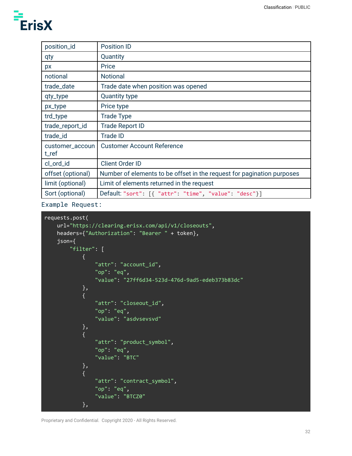| position_id              | <b>Position ID</b>                                                     |
|--------------------------|------------------------------------------------------------------------|
| qty                      | Quantity                                                               |
| px                       | Price                                                                  |
| notional                 | <b>Notional</b>                                                        |
| trade_date               | Trade date when position was opened                                    |
| qty_type                 | <b>Quantity type</b>                                                   |
| px_type                  | Price type                                                             |
| trd_type                 | <b>Trade Type</b>                                                      |
| trade_report_id          | <b>Trade Report ID</b>                                                 |
| trade_id                 | <b>Trade ID</b>                                                        |
| customer_accoun<br>t_ref | <b>Customer Account Reference</b>                                      |
| cl_ord_id                | <b>Client Order ID</b>                                                 |
| offset (optional)        | Number of elements to be offset in the request for pagination purposes |
| limit (optional)         | Limit of elements returned in the request                              |
| Sort (optional)          | Default "sort": [{ "attr": "time", "value": "desc"}]                   |

Example Request:

```
requests.post(
   url="https://clearing.erisx.com/api/v1/closeouts",
   headers={"Authorization": "Bearer " + token},
   json={
        "filter": [
            {
                "attr": "account_id",
                "op": "eq",
                "value": "27ff6d34-523d-476d-9ad5-edeb373b83dc"
            },
            {
                "attr": "closeout_id",
                "op": "eq",
                "value": "asdvsevsvd"
            },
            {
                "attr": "product_symbol",
                "op": "eq",
                "value": "BTC"
           },
            {
                "attr": "contract_symbol",
                "op": "eq",
                "value": "BTCZ0"
            },
```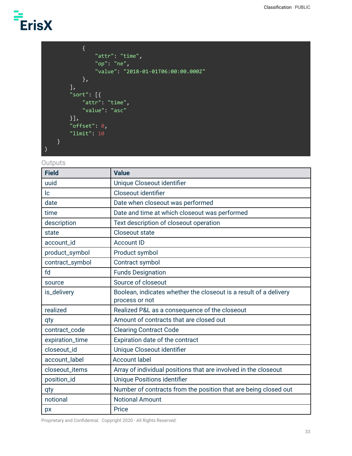```
{
                "attr": "time",
                "op": "ne",
                "value": "2018-01-01T06:00:00.000Z"
           },
       ],
       "sort": [{
           "attr": "time",
           "value": "asc"
       }],
       "offset": 0,
       "limit": 10
   }
)
```
#### **Outputs**

| <b>Field</b>    | <b>Value</b>                                                                        |  |
|-----------------|-------------------------------------------------------------------------------------|--|
| uuid            | Unique Closeout identifier                                                          |  |
| c               | Closeout identifier                                                                 |  |
| date            | Date when closeout was performed                                                    |  |
| time            | Date and time at which closeout was performed                                       |  |
| description     | Text description of closeout operation                                              |  |
| state           | <b>Closeout state</b>                                                               |  |
| account_id      | <b>Account ID</b>                                                                   |  |
| product_symbol  | Product symbol                                                                      |  |
| contract_symbol | Contract symbol                                                                     |  |
| fd              | <b>Funds Designation</b>                                                            |  |
| source          | Source of closeout                                                                  |  |
| is_delivery     | Boolean, indicates whether the closeout is a result of a delivery<br>process or not |  |
| realized        | Realized P&L as a consequence of the closeout                                       |  |
| qty             | Amount of contracts that are closed out                                             |  |
| contract_code   | <b>Clearing Contract Code</b>                                                       |  |
| expiration_time | Expiration date of the contract                                                     |  |
| closeout_id     | Unique Closeout identifier                                                          |  |
| account_label   | <b>Account label</b>                                                                |  |
| closeout_items  | Array of individual positions that are involved in the closeout                     |  |
| position_id     | <b>Unique Positions identifier</b>                                                  |  |
| qty             | Number of contracts from the position that are being closed out                     |  |
| notional        | <b>Notional Amount</b>                                                              |  |
| px              | Price                                                                               |  |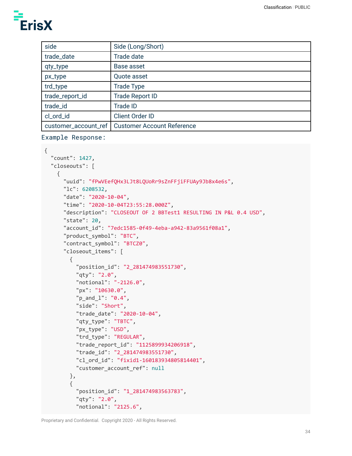| side                 | Side (Long/Short)                 |
|----------------------|-----------------------------------|
| trade_date           | Trade date                        |
| qty_type             | Base asset                        |
| px_type              | Quote asset                       |
| trd_type             | <b>Trade Type</b>                 |
| trade_report_id      | <b>Trade Report ID</b>            |
| trade_id             | <b>Trade ID</b>                   |
| cl_ord_id            | <b>Client Order ID</b>            |
| customer_account_ref | <b>Customer Account Reference</b> |

```
Example Response:
```

```
{
  "count": 1427,
  "closeouts": [
    {
      "uuid": "fPwVEefQHx3LJt8LQUoRr9sZnFFjiFFUAy9Jb8x4e6s",
      "lc": 6208532,
      "date": "2020-10-04",
      "time": "2020-10-04T23:55:28.000Z",
      "description": "CLOSEOUT OF 2 BBTest1 RESULTING IN P&L 0.4 USD",
      "state": 20,
      "account_id": "7edc1585-0f49-4eba-a942-83a9561f08a1",
      "product_symbol": "BTC",
      "contract_symbol": "BTCZ0",
      "closeout_items": [
        {
          "position_id": "2_281474983551730",
          "qty": "2.0",
          "notional": "-2126.0",
          "px": "10630.0",
          "p_and_l": "0.4",
          "side": "Short",
          "trade_date": "2020-10-04",
          "qty_type": "TBTC",
          "px_type": "USD",
          "trd_type": "REGULAR",
          "trade_report_id": "1125899934206918",
          "trade_id": "2_281474983551730",
          "cl_ord_id": "fixid1-160183934805814401",
          "customer_account_ref": null
        },
        {
          "position_id": "1_281474983563783",
          "qty": "2.0",
          "notional": "2125.6",
```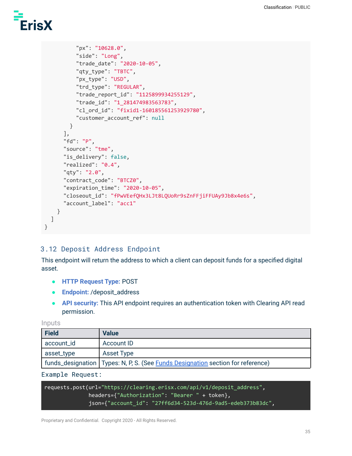```
"px": "10628.0",
          "side": "Long",
          "trade_date": "2020-10-05",
          "qty_type": "TBTC",
          "px_type": "USD",
          "trd_type": "REGULAR",
          "trade_report_id": "1125899934255129",
          "trade_id": "1_281474983563783",
          "cl_ord_id": "fixid1-160185561253929780",
          "customer account ref": null
        }
      ],
      "fd": "P",
      "source": "tme",
      "is_delivery": false,
      "realized": "0.4",
      "qty": "2.0",
      "contract_code": "BTCZ0",
      "expiration_time": "2020-10-05",
      "closeout id": "fPwVEefQHx3LJt8LQUoRr9sZnFFjiFFUAy9Jb8x4e6s",
      "account_label": "acc1"
   }
 ]
}
```
### <span id="page-34-0"></span>3.12 Deposit Address Endpoint

This endpoint will return the address to which a client can deposit funds for a specified digital asset.

- **HTTP Request Type:** POST
- **Endpoint:** /deposit\_address
- **API security:** This API endpoint requires an authentication token with Clearing API read permission.

#### Inputs

| Field      | <b>Value</b>                                                                             |
|------------|------------------------------------------------------------------------------------------|
| account_id | Account ID                                                                               |
| asset_type | Asset Type                                                                               |
|            | funds_designation   Types: N, P, S. (See <b>Funds Designation</b> section for reference) |

#### Example Request:

requests.post(url="https://clearing.erisx.com/api/v1/deposit\_address", headers={"Authorization": "Bearer " + token}, json={"account\_id": "27ff6d34-523d-476d-9ad5-edeb373b83dc",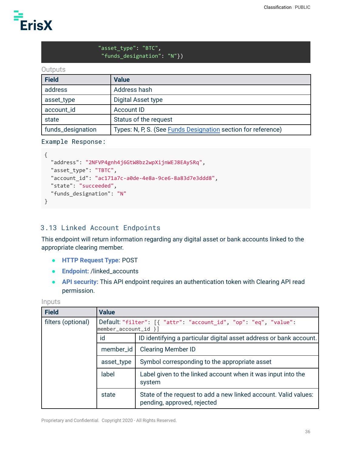

#### "asset\_type": "BTC", "funds\_designation": "N"})

#### **Outputs**

| Field             | <b>Value</b>                                                         |  |
|-------------------|----------------------------------------------------------------------|--|
| address           | Address hash                                                         |  |
| asset_type        | Digital Asset type                                                   |  |
| account_id        | <b>Account ID</b>                                                    |  |
| state             | Status of the request                                                |  |
| funds_designation | Types: N, P, S. (See <b>Funds Designation</b> section for reference) |  |

#### Example Response:

```
{
  "address": "2NFVP4gnh4j6GtW8bz2wpXijnWEJ8EAySRq",
  "asset_type": "TBTC",
  "account_id": "ac171a7c-a0de-4e8a-9ce6-8a83d7e3ddd8",
  "state": "succeeded",
  "funds_designation": "N"
}
```
### <span id="page-35-0"></span>3.13 Linked Account Endpoints

This endpoint will return information regarding any digital asset or bank accounts linked to the appropriate clearing member.

- **HTTP Request Type:** POST
- **Endpoint:** /linked\_accounts
- **API security:** This API endpoint requires an authentication token with Clearing API read permission.

Inputs

| <b>Field</b>       | <b>Value</b>                                                                               |                                                                                                |  |
|--------------------|--------------------------------------------------------------------------------------------|------------------------------------------------------------------------------------------------|--|
| filters (optional) | Default: "filter": [{ "attr": "account_id", "op": "eq", "value":<br>$member_account_id)$ ] |                                                                                                |  |
|                    | id                                                                                         | ID identifying a particular digital asset address or bank account.                             |  |
|                    | member_id                                                                                  | <b>Clearing Member ID</b>                                                                      |  |
|                    | asset_type                                                                                 | Symbol corresponding to the appropriate asset                                                  |  |
|                    | label                                                                                      | Label given to the linked account when it was input into the<br>system                         |  |
|                    | state                                                                                      | State of the request to add a new linked account. Valid values:<br>pending, approved, rejected |  |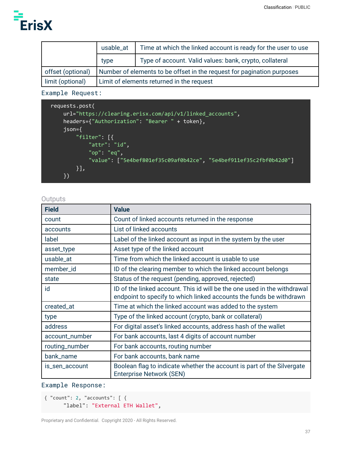

|                   | usable_at                                                              | Time at which the linked account is ready for the user to use |
|-------------------|------------------------------------------------------------------------|---------------------------------------------------------------|
|                   | type                                                                   | Type of account. Valid values: bank, crypto, collateral       |
| offset (optional) | Number of elements to be offset in the request for pagination purposes |                                                               |
| limit (optional)  | Limit of elements returned in the request                              |                                                               |

Example Request:

```
requests.post(
   url="https://clearing.erisx.com/api/v1/linked_accounts",
   headers={"Authorization": "Bearer " + token},
    json={
        "filter": [{
            "attr": "id",
            "op": "eq",
            "value": ["5e4bef801ef35c09af0b42ce", "5e4bef911ef35c2fbf0b42d0"]
       }],
    })
```
**Outputs** 

| <b>Field</b>   | <b>Value</b>                                                                                                                                    |
|----------------|-------------------------------------------------------------------------------------------------------------------------------------------------|
| count          | Count of linked accounts returned in the response                                                                                               |
| accounts       | List of linked accounts                                                                                                                         |
| label          | Label of the linked account as input in the system by the user                                                                                  |
| asset_type     | Asset type of the linked account                                                                                                                |
| usable_at      | Time from which the linked account is usable to use                                                                                             |
| member_id      | ID of the clearing member to which the linked account belongs                                                                                   |
| state          | Status of the request (pending, approved, rejected)                                                                                             |
| id             | ID of the linked account. This id will be the one used in the withdrawal<br>endpoint to specify to which linked accounts the funds be withdrawn |
| created_at     | Time at which the linked account was added to the system                                                                                        |
| type           | Type of the linked account (crypto, bank or collateral)                                                                                         |
| address        | For digital asset's linked accounts, address hash of the wallet                                                                                 |
| account_number | For bank accounts, last 4 digits of account number                                                                                              |
| routing_number | For bank accounts, routing number                                                                                                               |
| bank_name      | For bank accounts, bank name                                                                                                                    |
| is_sen_account | Boolean flag to indicate whether the account is part of the Silvergate<br><b>Enterprise Network (SEN)</b>                                       |

Example Response:

```
{ "count": 2, "accounts": [ {
      "label": "External ETH Wallet",
```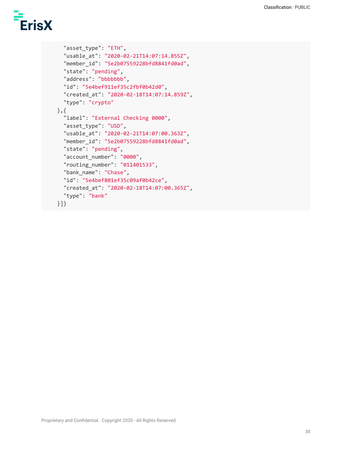```
"asset_type": "ETH",
  "usable_at": "2020-02-21T14:07:14.855Z",
  "member_id": "5e2b07559228bfd8841fd0ad",
  "state": "pending",
  "address": "bbbbbbb",
  "id": "5e4bef911ef35c2fbf0b42d0",
  "created_at": "2020-02-18T14:07:14.859Z",
  "type": "crypto"
},{
  "label": "External Checking 0000",
  "asset_type": "USD",
  "usable_at": "2020-02-21T14:07:00.363Z",
  "member_id": "5e2b07559228bfd8841fd0ad",
  "state": "pending",
  "account_number": "0000",
  "routing_number": "011401533",
  "bank_name": "Chase",
  "id": "5e4bef801ef35c09af0b42ce",
  "created_at": "2020-02-18T14:07:00.365Z",
  "type": "bank"
}]}
```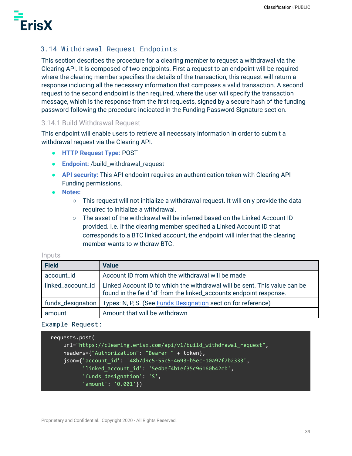

# 3.14 Withdrawal Request Endpoints

This section describes the procedure for a clearing member to request a withdrawal via the Clearing API. It is composed of two endpoints. First a request to an endpoint will be required where the clearing member specifies the details of the transaction, this request will return a response including all the necessary information that composes a valid transaction. A second request to the second endpoint is then required, where the user will specify the transaction message, which is the response from the first requests, signed by a secure hash of the funding password following the procedure indicated in the Funding Password Signature section.

#### 3.14.1 Build Withdrawal Request

This endpoint will enable users to retrieve all necessary information in order to submit a withdrawal request via the Clearing API.

- **HTTP Request Type:** POST
- **Endpoint:** /build\_withdrawal\_request
- **API security:** This API endpoint requires an authentication token with Clearing API Funding permissions.
- **● Notes:**
	- $\circ$  This request will not initialize a withdrawal request. It will only provide the data required to initialize a withdrawal.
	- $\circ$  The asset of the withdrawal will be inferred based on the Linked Account ID provided. I.e. if the clearing member specified a Linked Account ID that corresponds to a BTC linked account, the endpoint will infer that the clearing member wants to withdraw BTC.

#### **Inputs**

| <b>Field</b>      | <b>Value</b>                                                                                                                                     |
|-------------------|--------------------------------------------------------------------------------------------------------------------------------------------------|
| account_id        | Account ID from which the withdrawal will be made                                                                                                |
| linked_account_id | Linked Account ID to which the withdrawal will be sent. This value can be<br>found in the field 'id' from the linked_accounts endpoint response. |
| funds_designation | Types: N, P, S. (See <b>Funds Designation</b> section for reference)                                                                             |
| amount            | Amount that will be withdrawn                                                                                                                    |

#### Example Request:

```
requests.post(
    url="https://clearing.erisx.com/api/v1/build_withdrawal_request",
    headers={"Authorization": "Bearer " + token},
    json={'account_id': '48b7d9c5-55c5-4693-b5ec-10a97f7b2333',
          'linked_account_id': '5e4bef4b1ef35c96160b42cb',
          'funds_designation': 'S',
          'amount': '0.001'})
```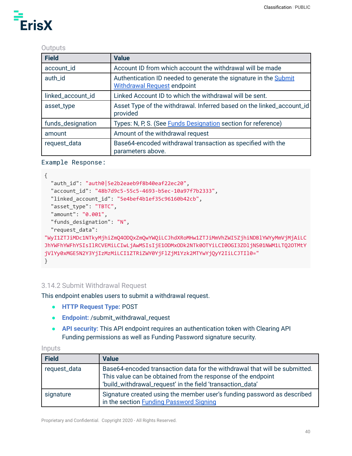### **Outputs**

| <b>Field</b>      | <b>Value</b>                                                                                           |
|-------------------|--------------------------------------------------------------------------------------------------------|
| account_id        | Account ID from which account the withdrawal will be made                                              |
| auth_id           | Authentication ID needed to generate the signature in the Submit<br><b>Withdrawal Request endpoint</b> |
| linked_account_id | Linked Account ID to which the withdrawal will be sent.                                                |
| asset_type        | Asset Type of the withdrawal. Inferred based on the linked_account_id<br>provided                      |
| funds_designation | Types: N, P, S. (See <b>Funds Designation</b> section for reference)                                   |
| amount            | Amount of the withdrawal request                                                                       |
| request_data      | Base64-encoded withdrawal transaction as specified with the<br>parameters above.                       |

#### Example Response:

```
{
  "auth_id": "auth0|5e2b2eaeb9f8b40eaf22ec20",
  "account_id": "48b7d9c5-55c5-4693-b5ec-10a97f7b2333",
  "linked_account_id": "5e4bef4b1ef35c96160b42cb",
  "asset_type": "TBTC",
  "amount": "0.001",
  "funds_designation": "N",
  "request_data":
"WyI1ZTJiMDc1NTkyMjhiZmQ4ODQxZmQwYWQiLCJhdXRoMHw1ZTJiMmVhZWI5ZjhiNDBlYWYyMmVjMjAiLC
JhYWFhYWFhYSIsIlRCVEMiLCIwLjAwMSIsIjE1ODMxODk2NTk0OTYiLCI0OGI3ZDljNS01NWM1LTQ2OTMtY
jVlYy0xMGE5N2Y3YjIzMzMiLCI1ZTRiZWY0YjFlZjM1Yzk2MTYwYjQyY2IiLCJTIl0="
}
```
### 3.14.2 Submit Withdrawal Request

This endpoint enables users to submit a withdrawal request.

- **HTTP Request Type:** POST
- **Endpoint:** /submit\_withdrawal\_request
- **API security:** This API endpoint requires an authentication token with Clearing API Funding permissions as well as Funding Password signature security.

#### Inputs

| <b>Field</b> | <b>Value</b>                                                                                                                                                                                             |
|--------------|----------------------------------------------------------------------------------------------------------------------------------------------------------------------------------------------------------|
| request_data | Base64-encoded transaction data for the withdrawal that will be submitted.<br>This value can be obtained from the response of the endpoint<br>'build_withdrawal_request' in the field 'transaction_data' |
| signature    | Signature created using the member user's funding password as described<br>in the section Funding Password Signing                                                                                       |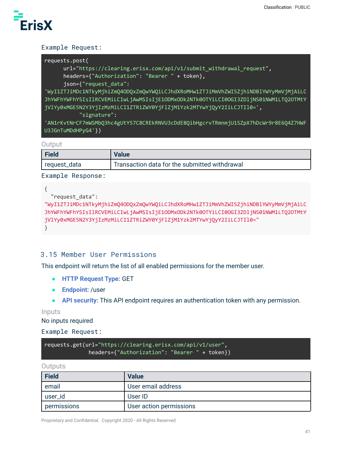

# Example Request:

| requests.post(                                                                                                 |
|----------------------------------------------------------------------------------------------------------------|
| url="https://clearing.erisx.com/api/v1/submit_withdrawal_request",                                             |
| headers={"Authorization": "Bearer " + token},                                                                  |
| json={"request data":                                                                                          |
| انة http://www.murk.com/windited/windited/windited/windited/windited/windited/windited/windited/windited/windi |

'WyI1ZTJiMDc1NTkyMjhiZmQ4ODQxZmQwYWQiLCJhdXRoMHw1ZTJiMmVhZWI5ZjhiNDBlYWYyMmVjMjAiLC JhYWFhYWFhYSIsIlRCVEMiLCIwLjAwMSIsIjE1ODMxODk2NTk0OTYiLCI0OGI3ZDljNS01NWM1LTQ2OTMtY jVlYy0xMGE5N2Y3YjIzMzMiLCI1ZTRiZWY0YjFlZjM1Yzk2MTYwYjQyY2IiLCJTIl0=',

"signature":

'AN1rKvtNrCF7mWSMbQ3hc4gUtY57C8CREkRNVU3cDdE8QibHgcrvTRmnmjU1SZpX7hDcWr9r8E6Q4Z7HWF U3JGnTuMDdHPyG4'})

#### **Output**

| <b>Field</b> | Value                                         |
|--------------|-----------------------------------------------|
| request_data | Transaction data for the submitted withdrawal |

Example Response:

```
{
  "request_data":
```

```
"WyI1ZTJiMDc1NTkyMjhiZmQ4ODQxZmQwYWQiLCJhdXRoMHw1ZTJiMmVhZWI5ZjhiNDBlYWYyMmVjMjAiLC
JhYWFhYWFhYSIsIlRCVEMiLCIwLjAwMSIsIjE1ODMxODk2NTk0OTYiLCI0OGI3ZDljNS01NWM1LTQ2OTMtY
jVlYy0xMGE5N2Y3YjIzMzMiLCI1ZTRiZWY0YjFlZjM1Yzk2MTYwYjQyY2IiLCJTIl0="
}
```
# 3.15 Member User Permissions

This endpoint will return the list of all enabled permissions for the member user.

- **HTTP Request Type:** GET
- **Endpoint:** /user
- **API security:** This API endpoint requires an authentication token with any permission.

Inputs

No inputs required

Example Request:

requests.get(url="https://clearing.erisx.com/api/v1/user", headers={"Authorization": "Bearer " + token})

#### **Outputs**

| <b>Field</b> | <b>Value</b>            |
|--------------|-------------------------|
| email        | User email address      |
| user_id      | User ID                 |
| permissions  | User action permissions |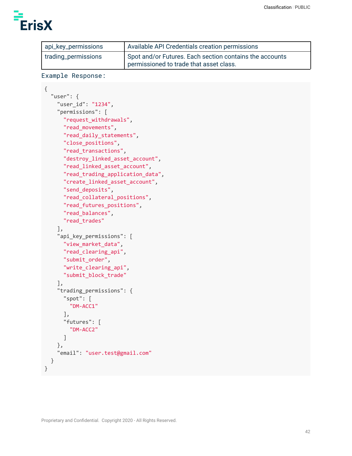

| api_key_permissions | Available API Credentials creation permissions                                                     |
|---------------------|----------------------------------------------------------------------------------------------------|
| trading_permissions | Spot and/or Futures. Each section contains the accounts<br>permissioned to trade that asset class. |

```
Example Response:
```

```
{
  "user": {
    "user_id": "1234",
    "permissions": [
      "request_withdrawals",
      "read_movements",
      "read_daily_statements",
      "close_positions",
      "read_transactions",
      "destroy_linked_asset_account",
      "read_linked_asset_account",
      "read_trading_application_data",
      "create_linked_asset_account",
      "send_deposits",
      "read_collateral_positions",
      "read_futures_positions",
      "read_balances",
      "read_trades"
    ],
    "api_key_permissions": [
      "view_market_data",
      "read_clearing_api",
      "submit_order",
      "write_clearing_api",
      "submit_block_trade"
    ],
    "trading_permissions": {
      "spot": [
        "DM-ACC1"
      ],
      "futures": [
        "DM-ACC2"
      ]
    },
    "email": "user.test@gmail.com"
  }
}
```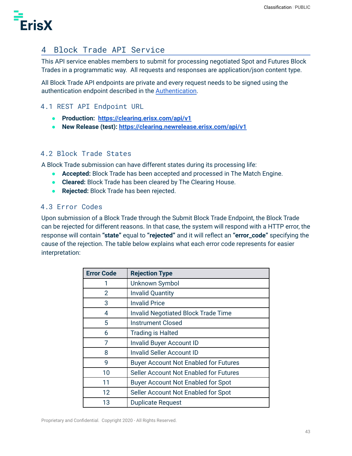

# 4 Block Trade API Service

This API service enables members to submit for processing negotiated Spot and Futures Block Trades in a programmatic way. All requests and responses are application/json content type.

All Block Trade API endpoints are private and every request needs to be signed using the authentication endpoint described in the [Authentication](#page-6-0).

# 4.1 REST API Endpoint URL

- **● Production: [https://clearing.erisx.com/api/v1](https://clearing.newrelease.erisx.com/api/v1)**
- **● New Release (test): <https://clearing.newrelease.erisx.com/api/v1>**

# 4.2 Block Trade States

A Block Trade submission can have different states during its processing life:

- **Accepted:** Block Trade has been accepted and processed in The Match Engine.
- **Cleared:** Block Trade has been cleared by The Clearing House.
- **Rejected:** Block Trade has been rejected.

### <span id="page-42-0"></span>4.3 Error Codes

Upon submission of a Block Trade through the Submit Block Trade Endpoint, the Block Trade can be rejected for different reasons. In that case, the system will respond with a HTTP error, the response will contain **"state"** equal to **"rejected"** and it will reflect an **"error\_code"** specifying the cause of the rejection. The table below explains what each error code represents for easier interpretation:

| <b>Error Code</b> | <b>Rejection Type</b>                        |
|-------------------|----------------------------------------------|
|                   | Unknown Symbol                               |
| 2                 | <b>Invalid Quantity</b>                      |
| 3                 | <b>Invalid Price</b>                         |
| 4                 | <b>Invalid Negotiated Block Trade Time</b>   |
| 5                 | Instrument Closed                            |
| 6                 | <b>Trading is Halted</b>                     |
| 7                 | <b>Invalid Buyer Account ID</b>              |
| 8                 | <b>Invalid Seller Account ID</b>             |
| 9                 | <b>Buyer Account Not Enabled for Futures</b> |
| 10                | Seller Account Not Enabled for Futures       |
| 11                | <b>Buyer Account Not Enabled for Spot</b>    |
| 12                | Seller Account Not Enabled for Spot          |
| 13                | <b>Duplicate Request</b>                     |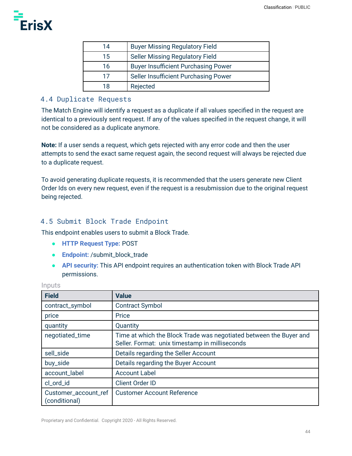

| 14 | <b>Buyer Missing Regulatory Field</b>      |
|----|--------------------------------------------|
| 15 | <b>Seller Missing Regulatory Field</b>     |
| 16 | <b>Buyer Insufficient Purchasing Power</b> |
| 17 | Seller Insufficient Purchasing Power       |
| 18 | Rejected                                   |

# 4.4 Duplicate Requests

The Match Engine will identify a request as a duplicate if all values specified in the request are identical to a previously sent request. If any of the values specified in the request change, it will not be considered as a duplicate anymore.

**Note:** If a user sends a request, which gets rejected with any error code and then the user attempts to send the exact same request again, the second request will always be rejected due to a duplicate request.

To avoid generating duplicate requests, it is recommended that the users generate new Client Order Ids on every new request, even if the request is a resubmission due to the original request being rejected.

# <span id="page-43-0"></span>4.5 Submit Block Trade Endpoint

This endpoint enables users to submit a Block Trade.

- **HTTP Request Type:** POST
- **Endpoint:** /submit\_block\_trade
- **API security:** This API endpoint requires an authentication token with Block Trade API permissions.

| <b>Field</b>                          | <b>Value</b>                                                                                                         |
|---------------------------------------|----------------------------------------------------------------------------------------------------------------------|
| contract_symbol                       | <b>Contract Symbol</b>                                                                                               |
| price                                 | Price                                                                                                                |
| quantity                              | Quantity                                                                                                             |
| negotiated_time                       | Time at which the Block Trade was negotiated between the Buyer and<br>Seller. Format: unix timestamp in milliseconds |
| sell_side                             | Details regarding the Seller Account                                                                                 |
| buy_side                              | Details regarding the Buyer Account                                                                                  |
| account_label                         | <b>Account Label</b>                                                                                                 |
| cl_ord_id                             | <b>Client Order ID</b>                                                                                               |
| Customer_account_ref<br>(conditional) | <b>Customer Account Reference</b>                                                                                    |

#### Inputs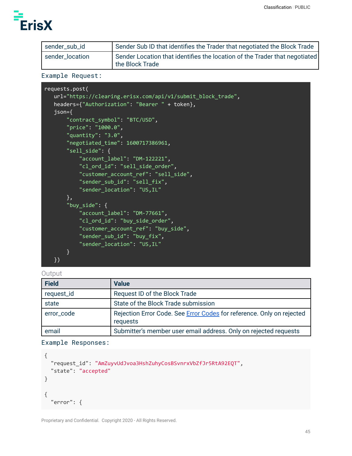

| sender_sub_id   | Sender Sub ID that identifies the Trader that negotiated the Block Trade                      |
|-----------------|-----------------------------------------------------------------------------------------------|
| sender_location | Sender Location that identifies the location of the Trader that negotiated<br>the Block Trade |

# Example Request:

| requests.post(                                              |
|-------------------------------------------------------------|
| url="https://clearing.erisx.com/api/v1/submit_block_trade", |
| headers={"Authorization": "Bearer " + token},               |
| $json = {$                                                  |
| "contract_symbol": "BTC/USD",                               |
| "price": "1000.0",                                          |
| "quantity": " $3.0$ ",                                      |
| "negotiated_time": 1600717386961,                           |
| "sell side": {                                              |
| "account_label": "DM-122221",                               |
| "cl_ord_id": "sell_side_order",                             |
| "customer_account_ref": "sell_side",                        |
| "sender_sub_id": "sell_fix",                                |
| "sender_location": "US, IL"                                 |
| },                                                          |
| "buy_side": $\{$                                            |
| "account_label": "DM-77661",                                |
| "cl_ord_id": "buy_side_order",                              |
| "customer_account_ref": "buy_side",                         |
| "sender_sub_id": "buy_fix",                                 |
| "sender_location": "US, IL"                                 |
| }.                                                          |
| )                                                           |

#### **Output**

| Field      | <b>Value</b>                                                                      |
|------------|-----------------------------------------------------------------------------------|
| request_id | Request ID of the Block Trade                                                     |
| state      | State of the Block Trade submission                                               |
| error_code | Rejection Error Code. See Error Codes for reference. Only on rejected<br>requests |
| email      | Submitter's member user email address. Only on rejected requests                  |

# Example Responses:

```
{
  "request_id": "AmZuyvUdJvoa3HshZuhyCosBSvnrxVbZfJr5RtA92EQT",
  "state": "accepted"
}
{
  "error": {
```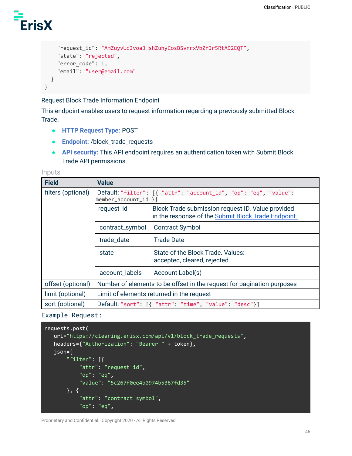```
"request_id": "AmZuyvUdJvoa3HshZuhyCosBSvnrxVbZfJr5RtA92EQT",
    "state": "rejected",
    "error_code": 1,
    "email": "user@email.com"
 }
}
```
Request Block Trade Information Endpoint

This endpoint enables users to request information regarding a previously submitted Block Trade.

- **HTTP Request Type:** POST
- **Endpoint:** /block\_trade\_requests
- **API security:** This API endpoint requires an authentication token with Submit Block Trade API permissions.

Inputs

| <b>Field</b>       | <b>Value</b>                                                                                  |                                                                                                          |  |  |
|--------------------|-----------------------------------------------------------------------------------------------|----------------------------------------------------------------------------------------------------------|--|--|
| filters (optional) | Default: "filter": [{ "attr": "account_id", "op": "eq", "value":<br>$ $ member_account_id $ $ |                                                                                                          |  |  |
|                    | request_id                                                                                    | Block Trade submission request ID. Value provided<br>in the response of the Submit Block Trade Endpoint. |  |  |
|                    | contract_symbol                                                                               | <b>Contract Symbol</b>                                                                                   |  |  |
|                    | trade_date                                                                                    | Trade Date                                                                                               |  |  |
|                    | state                                                                                         | State of the Block Trade. Values:<br>accepted, cleared, rejected.                                        |  |  |
|                    | account_labels                                                                                | Account Label(s)                                                                                         |  |  |
| offset (optional)  | Number of elements to be offset in the request for pagination purposes                        |                                                                                                          |  |  |
| limit (optional)   | Limit of elements returned in the request                                                     |                                                                                                          |  |  |
| sort (optional)    | Default "sort": [{ "attr": "time", "value": "desc"}]                                          |                                                                                                          |  |  |

Example Request:

```
requests.post(
   url="https://clearing.erisx.com/api/v1/block_trade_requests",
   headers={"Authorization": "Bearer " + token},
   json={
       "filter": [{
           "attr": "request_id",
           "op": "eq",
           "value": "5c267f0ee4b0974b5367fd35"
       }, {
           "attr": "contract_symbol",
           "op": "eq",
```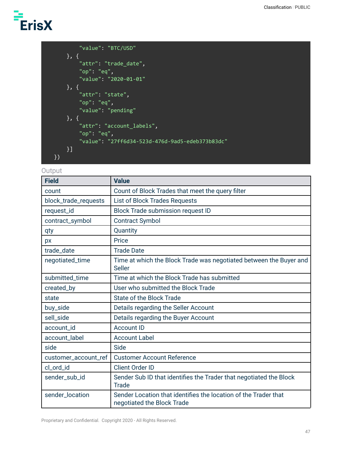```
"value": "BTC/USD"
    }, {
        "attr": "trade_date",
        "op": "eq",
        "value": "2020-01-01"
    }, {
        "attr": "state",
        "op": "eq",
        "value": "pending"
    }, {
        "attr": "account_labels",
        "op": "eq",
        "value": "27ff6d34-523d-476d-9ad5-edeb373b83dc"
    }]
})
```
#### **Output**

| <b>Field</b>         | <b>Value</b>                                                                                  |
|----------------------|-----------------------------------------------------------------------------------------------|
| count                | Count of Block Trades that meet the query filter                                              |
| block_trade_requests | <b>List of Block Trades Requests</b>                                                          |
| request_id           | <b>Block Trade submission request ID</b>                                                      |
| contract_symbol      | <b>Contract Symbol</b>                                                                        |
| qty                  | Quantity                                                                                      |
| px                   | Price                                                                                         |
| trade_date           | <b>Trade Date</b>                                                                             |
| negotiated_time      | Time at which the Block Trade was negotiated between the Buyer and<br><b>Seller</b>           |
| submitted_time       | Time at which the Block Trade has submitted                                                   |
| created_by           | User who submitted the Block Trade                                                            |
| state                | <b>State of the Block Trade</b>                                                               |
| buy_side             | Details regarding the Seller Account                                                          |
| sell_side            | Details regarding the Buyer Account                                                           |
| account_id           | <b>Account ID</b>                                                                             |
| account_label        | <b>Account Label</b>                                                                          |
| side                 | Side                                                                                          |
| customer_account_ref | <b>Customer Account Reference</b>                                                             |
| cl_ord_id            | <b>Client Order ID</b>                                                                        |
| sender_sub_id        | Sender Sub ID that identifies the Trader that negotiated the Block<br>Trade                   |
| sender_location      | Sender Location that identifies the location of the Trader that<br>negotiated the Block Trade |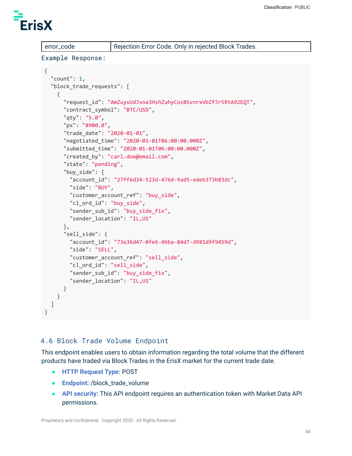

error\_code Rejection Error Code. Only in rejected Block Trades.

#### Example Response:

```
{
 "count": 1,
 "block trade requests": [
   {
      "request_id": "AmZuyvUdJvoa3HshZuhyCosBSvnrxVbZfJr5RtA92EQT",
      "contract_symbol": "BTC/USD",
      "qty": "5.0",
      "px": "8900.0",
      "trade_date": "2020-01-01",
      "negotiated_time": "2020-01-01T06:00:00.000Z",
      "submitted_time": "2020-01-01T06:00:00.000Z",
      "created_by": "carl.doe@email.com",
      "state": "pending",
      "buy side": {
        "account_id": "27ff6d34-523d-476d-9ad5-edeb373b83dc",
        "side": "BUY",
        "customer_account_ref": "buy_side",
        "cl ord id": "buy side",
        "sender sub id": "buy side fix",
        "sender_location": "IL,US"
      },
      "sell_side": {
        "account_id": "73e36d47-0fe6-4bba-84d7-d981d9f9459d",
        "side": "SELL",
        "customer_account_ref": "sell_side",
        "cl_ord_id": "sell_side",
        "sender_sub_id": "buy_side_fix",
        "sender_location": "IL,US"
      }
   }
 ]
}
```
### 4.6 Block Trade Volume Endpoint

This endpoint enables users to obtain information regarding the total volume that the different products have traded via Block Trades in the ErisX market for the current trade date.

- **HTTP Request Type:** POST
- **Endpoint:** /block\_trade\_volume
- **API security:** This API endpoint requires an authentication token with Market Data API permissions.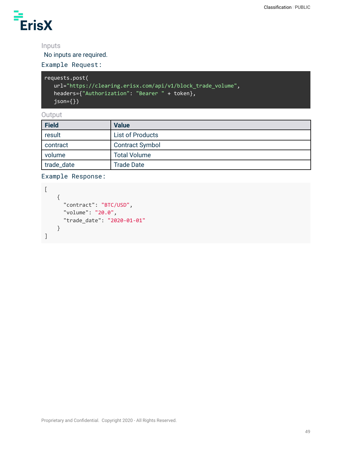

# Inputs

No inputs are required.

# Example Request:

```
requests.post(
  url="https://clearing.erisx.com/api/v1/block_trade_volume",
  headers={"Authorization": "Bearer " + token},
   json={})
```
**Output** 

| <b>Field</b> | <b>Value</b>            |
|--------------|-------------------------|
| result       | <b>List of Products</b> |
| contract     | <b>Contract Symbol</b>  |
| volume       | <b>Total Volume</b>     |
| trade_date   | <b>Trade Date</b>       |

Example Response:

```
\lbrack{
      "contract": "BTC/USD",
      "volume": "20.0",
      "trade_date": "2020-01-01"
    }
]
```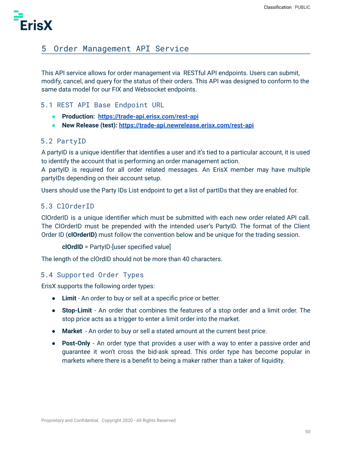

# 5 Order Management API Service

This API service allows for order management via RESTful API endpoints. Users can submit, modify, cancel, and query for the status of their orders. This API was designed to conform to the same data model for our FIX and Websocket endpoints.

### 5.1 REST API Base Endpoint URL

- **● Production: <https://trade-api.erisx.com/rest-api>**
- **● New Release (test): <https://trade-api.newrelease.erisx.com/rest-api>**

#### 5.2 PartyID

A partyID is a unique identifier that identifies a user and it's tied to a particular account, it is used to identify the account that is performing an order management action.

A partyID is required for all order related messages. An ErisX member may have multiple partyIDs depending on their account setup.

Users should use the Party IDs List endpoint to get a list of partIDs that they are enabled for.

#### 5.3 ClOrderID

ClOrderID is a unique identifier which must be submitted with each new order related API call. The ClOrderID must be prepended with the intended user's PartyID. The format of the Client Order ID (**clOrderID)** must follow the convention below and be unique for the trading session.

```
clOrdID = PartyID-[user specified value]
```
The length of the clOrdID should not be more than 40 characters.

#### 5.4 Supported Order Types

ErisX supports the following order types:

- **Limit** An order to buy or sell at a specific price or better.
- **Stop-Limit** An order that combines the features of a stop order and a limit order. The stop price acts as a trigger to enter a limit order into the market.
- **● Market** An order to buy or sell a stated amount at the current best price.
- **Post-Only** An order type that provides a user with a way to enter a passive order and guarantee it won't cross the bid-ask spread. This order type has become popular in markets where there is a benefit to being a maker rather than a taker of liquidity.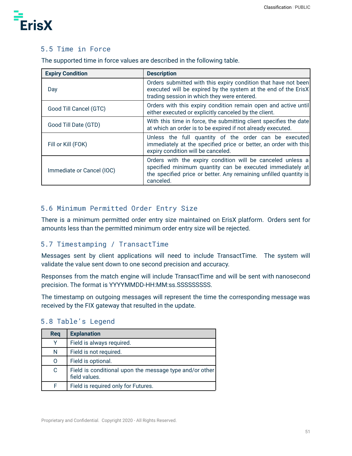

### 5.5 Time in Force

The supported time in force values are described in the following table.

| <b>Expiry Condition</b>   | <b>Description</b>                                                                                                                                                                                        |
|---------------------------|-----------------------------------------------------------------------------------------------------------------------------------------------------------------------------------------------------------|
| Day                       | Orders submitted with this expiry condition that have not been<br>executed will be expired by the system at the end of the ErisX<br>trading session in which they were entered.                           |
| Good Till Cancel (GTC)    | Orders with this expiry condition remain open and active until<br>either executed or explicitly canceled by the client.                                                                                   |
| Good Till Date (GTD)      | With this time in force, the submitting client specifies the date<br>at which an order is to be expired if not already executed.                                                                          |
| Fill or Kill (FOK)        | Unless the full quantity of the order can be executed<br>immediately at the specified price or better, an order with this<br>expiry condition will be canceled.                                           |
| Immediate or Cancel (IOC) | Orders with the expiry condition will be canceled unless a<br>specified minimum quantity can be executed immediately at<br>the specified price or better. Any remaining unfilled quantity is<br>canceled. |

# 5.6 Minimum Permitted Order Entry Size

There is a minimum permitted order entry size maintained on ErisX platform. Orders sent for amounts less than the permitted minimum order entry size will be rejected.

### 5.7 Timestamping / TransactTime

Messages sent by client applications will need to include TransactTime. The system will validate the value sent down to one second precision and accuracy.

Responses from the match engine will include TransactTime and will be sent with nanosecond precision. The format is YYYYMMDD-HH:MM:ss.SSSSSSSSS.

The timestamp on outgoing messages will represent the time the corresponding message was received by the FIX gateway that resulted in the update.

| Req | <b>Explanation</b>                                                       |
|-----|--------------------------------------------------------------------------|
| v   | Field is always required.                                                |
| N   | Field is not required.                                                   |
| O   | Field is optional.                                                       |
| C   | Field is conditional upon the message type and/or other<br>field values. |
|     | Field is required only for Futures.                                      |

### 5.8 Table's Legend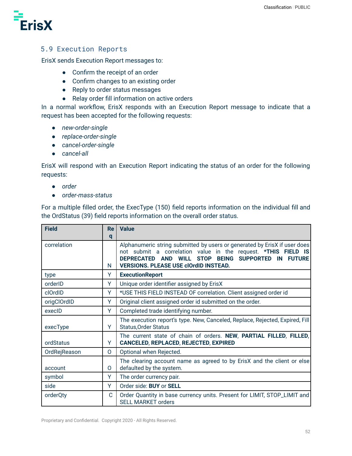

### 5.9 Execution Reports

ErisX sends Execution Report messages to:

- Confirm the receipt of an order
- Confirm changes to an existing order
- Reply to order status messages
- Relay order fill information on active orders

In a normal workflow, ErisX responds with an Execution Report message to indicate that a request has been accepted for the following requests:

- *● new-order-single*
- *● replace-order-single*
- *● cancel-order-single*
- *● cancel-all*

ErisX will respond with an Execution Report indicating the status of an order for the following requests:

- *● order*
- *● order-mass-status*

For a multiple filled order, the ExecType (150) field reports information on the individual fill and the OrdStatus (39) field reports information on the overall order status.

| <b>Field</b> | Re          | <b>Value</b>                                                                                                                                                                                                                                                                                               |
|--------------|-------------|------------------------------------------------------------------------------------------------------------------------------------------------------------------------------------------------------------------------------------------------------------------------------------------------------------|
|              | q           |                                                                                                                                                                                                                                                                                                            |
| correlation  | N           | Alphanumeric string submitted by users or generated by ErisX if user does<br>not submit a correlation value in the request. *THIS FIELD IS<br><b>SUPPORTED</b><br><b>DEPRECATED</b><br><b>STOP</b><br><b>BEING</b><br><b>AND</b><br>WILL.<br><b>FUTURE</b><br><b>VERSIONS. PLEASE USE clOrdID INSTEAD.</b> |
| type         | Y           | <b>ExecutionReport</b>                                                                                                                                                                                                                                                                                     |
| orderID      | Y           | Unique order identifier assigned by ErisX                                                                                                                                                                                                                                                                  |
| clOrdID      | Y           | *USE THIS FIELD INSTEAD OF correlation. Client assigned order id                                                                                                                                                                                                                                           |
| origClOrdID  | Y           | Original client assigned order id submitted on the order.                                                                                                                                                                                                                                                  |
| execID       | Y           | Completed trade identifying number.                                                                                                                                                                                                                                                                        |
| execType     | Y           | The execution report's type. New, Canceled, Replace, Rejected, Expired, Fill<br><b>Status, Order Status</b>                                                                                                                                                                                                |
| ordStatus    | Y           | The current state of chain of orders. NEW, PARTIAL FILLED, FILLED,<br><b>CANCELED, REPLACED, REJECTED, EXPIRED</b>                                                                                                                                                                                         |
| OrdRejReason | $\Omega$    | Optional when Rejected.                                                                                                                                                                                                                                                                                    |
| account      | 0           | The clearing account name as agreed to by ErisX and the client or else<br>defaulted by the system.                                                                                                                                                                                                         |
| symbol       | Y           | The order currency pair.                                                                                                                                                                                                                                                                                   |
| side         | Y           | Order side: BUY or SELL                                                                                                                                                                                                                                                                                    |
| orderQty     | $\mathbf C$ | Order Quantity in base currency units. Present for LIMIT, STOP_LIMIT and<br><b>SELL MARKET orders</b>                                                                                                                                                                                                      |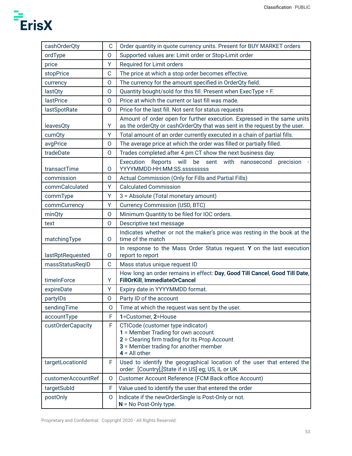| cashOrderQty       | $\mathsf{C}$ | Order quantity in quote currency units. Present for BUY MARKET orders                                                                                                                 |
|--------------------|--------------|---------------------------------------------------------------------------------------------------------------------------------------------------------------------------------------|
| ordType            | $\Omega$     | Supported values are: Limit order or Stop-Limit order                                                                                                                                 |
| price              | Ÿ            | Required for Limit orders                                                                                                                                                             |
| stopPrice          | C            | The price at which a stop order becomes effective.                                                                                                                                    |
| currency           | $\Omega$     | The currency for the amount specified in OrderQty field.                                                                                                                              |
| lastQty            | O            | Quantity bought/sold for this fill. Present when ExecType = F.                                                                                                                        |
| <b>lastPrice</b>   | O            | Price at which the current or last fill was made.                                                                                                                                     |
| lastSpotRate       | $\mathsf{O}$ | Price for the last fill. Not sent for status requests                                                                                                                                 |
| leavesQty          | Y            | Amount of order open for further execution. Expressed in the same units<br>as the orderQty or cashOrderQty that was sent in the request by the user.                                  |
| cumQty             | Y            | Total amount of an order currently executed in a chain of partial fills.                                                                                                              |
| avgPrice           | $\mathsf{O}$ | The average price at which the order was filled or partially filled.                                                                                                                  |
| tradeDate          | O            | Trades completed after 4 pm CT show the next business day.                                                                                                                            |
| transactTime       | $\Omega$     | Execution<br>will<br>be<br>sent<br>Reports<br>with nanosecond<br>precision<br>YYYYMMDD-HH:MM:SS.sssssssss                                                                             |
| commission         | O            | Actual Commission (Only for Fills and Partial Fills)                                                                                                                                  |
| commCalculated     | Y            | <b>Calculated Commission</b>                                                                                                                                                          |
| commType           | Ÿ            | 3 = Absolute (Total monetary amount)                                                                                                                                                  |
| commCurrency       | Υ            | <b>Currency Commission (USD, BTC)</b>                                                                                                                                                 |
| minQty             | O            | Minimum Quantity to be filed for IOC orders.                                                                                                                                          |
| text               | O            | Descriptive text message                                                                                                                                                              |
| matchingType       | O            | Indicates whether or not the maker's price was resting in the book at the<br>time of the match                                                                                        |
| lastRptRequested   | 0            | In response to the Mass Order Status request. Y on the last execution<br>report to report                                                                                             |
| massStatusReqID    | C            | Mass status unique request ID                                                                                                                                                         |
| timeInForce        | Υ            | How long an order remains in effect: Day, Good Till Cancel, Good Till Date,<br><b>FillOrKill, ImmediateOrCancel</b>                                                                   |
| expireDate         | Υ            | Expiry date in YYYYMMDD format.                                                                                                                                                       |
| partylDs           | 0            | Party ID of the account                                                                                                                                                               |
| sendingTime        | O            | Time at which the request was sent by the user.                                                                                                                                       |
| accountType        | F            | 1=Customer, 2=House                                                                                                                                                                   |
| custOrderCapacity  | F            | CTICode (customer type indicator)<br>1 = Member Trading for own account<br>2 = Clearing firm trading for its Prop Account<br>3 = Member trading for another member<br>$4 = All other$ |
| targetLocationId   | F            | Used to identify the geographical location of the user that entered the<br>order: [Country], [State if in US] eg; US, IL or UK                                                        |
| customerAccountRef | 0            | Customer Account Reference (FCM Back office Account)                                                                                                                                  |
| targetSubld        | F            | Value used to identify the user that entered the order                                                                                                                                |
| postOnly           | O            | Indicate if the newOrderSingle is Post-Only or not.<br>$N = No$ Post-Only type.                                                                                                       |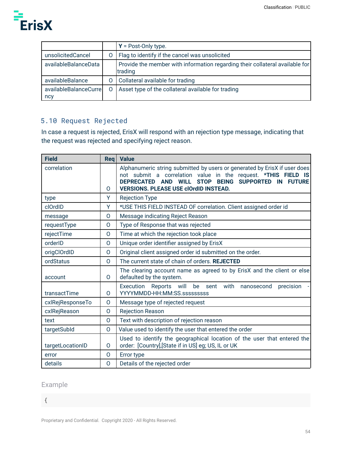

|                              |         | $Y = Post-Only type.$                                                                   |
|------------------------------|---------|-----------------------------------------------------------------------------------------|
| unsolicitedCancel            | O       | Flag to identify if the cancel was unsolicited                                          |
| availableBalanceData         |         | Provide the member with information regarding their collateral available for<br>trading |
| availableBalance             | 0       | Collateral available for trading                                                        |
| availableBalanceCurre<br>ncy | $\circ$ | Asset type of the collateral available for trading                                      |

# 5.10 Request Rejected

In case a request is rejected, ErisX will respond with an rejection type message, indicating that the request was rejected and specifying reject reason.

| <b>Field</b>     | Reg            | <b>Value</b>                                                                                                                                                                                                                                                                                          |
|------------------|----------------|-------------------------------------------------------------------------------------------------------------------------------------------------------------------------------------------------------------------------------------------------------------------------------------------------------|
| correlation      | 0              | Alphanumeric string submitted by users or generated by ErisX if user does<br>not submit a correlation value in the request. *THIS FIELD IS<br><b>STOP BEING</b><br><b>SUPPORTED</b><br>DEPRECATED AND<br>IN <b>IN</b><br><b>FUTURE</b><br><b>WILL</b><br><b>VERSIONS. PLEASE USE clOrdID INSTEAD.</b> |
| type             | Υ              | <b>Rejection Type</b>                                                                                                                                                                                                                                                                                 |
| clOrdID          | Y              | *USE THIS FIELD INSTEAD OF correlation. Client assigned order id                                                                                                                                                                                                                                      |
| message          | O              | Message indicating Reject Reason                                                                                                                                                                                                                                                                      |
| requestType      | O              | Type of Response that was rejected                                                                                                                                                                                                                                                                    |
| rejectTime       | $\overline{O}$ | Time at which the rejection took place                                                                                                                                                                                                                                                                |
| orderID          | $\overline{O}$ | Unique order identifier assigned by ErisX                                                                                                                                                                                                                                                             |
| origClOrdID      | $\Omega$       | Original client assigned order id submitted on the order.                                                                                                                                                                                                                                             |
| ordStatus        | $\mathsf{O}$   | The current state of chain of orders. REJECTED                                                                                                                                                                                                                                                        |
| account          | 0              | The clearing account name as agreed to by ErisX and the client or else<br>defaulted by the system.                                                                                                                                                                                                    |
| transactTime     | 0              | Execution<br>with<br>Reports<br>will<br>be<br>nanosecond<br>precision<br>sent<br>YYYYMMDD-HH:MM:SS.sssssssss                                                                                                                                                                                          |
| cxlRejResponseTo | $\overline{O}$ | Message type of rejected request                                                                                                                                                                                                                                                                      |
| cxlRejReason     | O              | <b>Rejection Reason</b>                                                                                                                                                                                                                                                                               |
| text             | $\overline{O}$ | Text with description of rejection reason                                                                                                                                                                                                                                                             |
| targetSubld      | $\mathsf{O}$   | Value used to identify the user that entered the order                                                                                                                                                                                                                                                |
| targetLocationID | $\Omega$       | Used to identify the geographical location of the user that entered the<br>order: [Country],[State if in US] eg; US, IL or UK                                                                                                                                                                         |
| error            | O              | Error type                                                                                                                                                                                                                                                                                            |
| details          | $\mathsf{O}$   | Details of the rejected order                                                                                                                                                                                                                                                                         |

# Example

{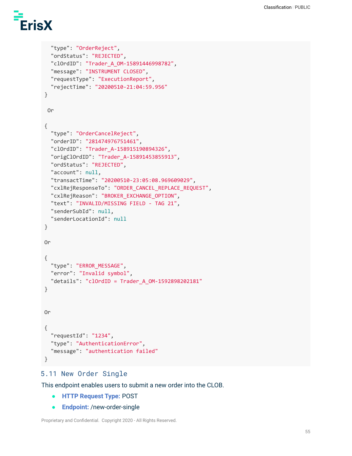```
"type": "OrderReject",
  "ordStatus": "REJECTED",
  "clOrdID": "Trader_A_OM-15891446998782",
  "message": "INSTRUMENT CLOSED",
  "requestType": "ExecutionReport",
  "rejectTime": "20200510-21:04:59.956"
}
Or
{
  "type": "OrderCancelReject",
  "orderID": "281474976751461",
  "clOrdID": "Trader_A-158915190894326",
  "origClOrdID": "Trader_A-15891453855913",
  "ordStatus": "REJECTED",
  "account": null,
  "transactTime": "20200510-23:05:08.969609029",
  "cxlRejResponseTo": "ORDER_CANCEL_REPLACE_REQUEST",
  "cxlRejReason": "BROKER_EXCHANGE_OPTION",
  "text": "INVALID/MISSING FIELD - TAG 21",
  "senderSubId": null,
  "senderLocationId": null
}
Or
{
  "type": "ERROR_MESSAGE",
 "error": "Invalid symbol",
 "details": "clOrdID = Trader_A_OM-1592898202181"
}
Or
{
 "requestId": "1234",
  "type": "AuthenticationError",
 "message": "authentication failed"
}
```
### 5.11 New Order Single

This endpoint enables users to submit a new order into the CLOB.

- **HTTP Request Type:** POST
- **Endpoint:** /new-order-single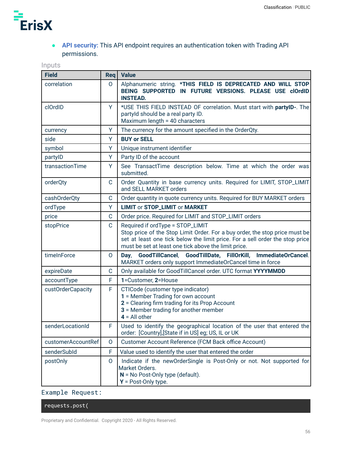

# ● **API security:** This API endpoint requires an authentication token with Trading API permissions.

# Inputs

| <b>Field</b>       | Req            | <b>Value</b>                                                                                                                                                                                                                                            |
|--------------------|----------------|---------------------------------------------------------------------------------------------------------------------------------------------------------------------------------------------------------------------------------------------------------|
| correlation        | $\Omega$       | Alphanumeric string. *THIS FIELD IS DEPRECATED AND WILL STOP<br>BEING SUPPORTED IN FUTURE VERSIONS. PLEASE USE clOrdID<br><b>INSTEAD.</b>                                                                                                               |
| clOrdID            | Y              | *USE THIS FIELD INSTEAD OF correlation. Must start with partyID-. The<br>partyld should be a real party ID.<br>Maximum length = 40 characters                                                                                                           |
| currency           | Υ              | The currency for the amount specified in the OrderQty.                                                                                                                                                                                                  |
| side               | Y              | <b>BUY or SELL</b>                                                                                                                                                                                                                                      |
| symbol             | Y              | Unique instrument identifier                                                                                                                                                                                                                            |
| partylD            | Υ              | Party ID of the account                                                                                                                                                                                                                                 |
| transactionTime    | Y              | See TransactTime description below. Time at which the order was<br>submitted.                                                                                                                                                                           |
| orderQty           | C              | Order Quantity in base currency units. Required for LIMIT, STOP_LIMIT<br>and SELL MARKET orders                                                                                                                                                         |
| cashOrderQty       | $\mathsf{C}$   | Order quantity in quote currency units. Required for BUY MARKET orders                                                                                                                                                                                  |
| ordType            | Y              | <b>LIMIT or STOP_LIMIT or MARKET</b>                                                                                                                                                                                                                    |
| price              | C              | Order price. Required for LIMIT and STOP_LIMIT orders                                                                                                                                                                                                   |
| stopPrice          | C              | Required if ordType = STOP_LIMIT<br>Stop price of the Stop Limit Order. For a buy order, the stop price must be<br>set at least one tick below the limit price. For a sell order the stop price<br>must be set at least one tick above the limit price. |
| timeInForce        | O              | GoodTillCancel, GoodTillDate, FillOrKill, ImmediateOrCancel.<br>Day,<br>MARKET orders only support ImmediateOrCancel time in force                                                                                                                      |
| expireDate         | C              | Only available for GoodTillCancel order. UTC format YYYYMMDD                                                                                                                                                                                            |
| accountType        | F              | 1=Customer, 2=House                                                                                                                                                                                                                                     |
| custOrderCapacity  | F              | CTICode (customer type indicator)<br>1 = Member Trading for own account<br>2 = Clearing firm trading for its Prop Account<br>3 = Member trading for another member<br>$4 = All other$                                                                   |
| senderLocationId   | F              | Used to identify the geographical location of the user that entered the<br>order: [Country], [State if in US] eg; US, IL or UK                                                                                                                          |
| customerAccountRef | $\overline{O}$ | Customer Account Reference (FCM Back office Account)                                                                                                                                                                                                    |
| senderSubId        | F              | Value used to identify the user that entered the order                                                                                                                                                                                                  |
| postOnly           | $\Omega$       | Indicate if the newOrderSingle is Post-Only or not. Not supported for<br>Market Orders.<br>$N = No$ Post-Only type (default).<br>$Y = Post-Only type.$                                                                                                  |

# Example Request:

requests.post(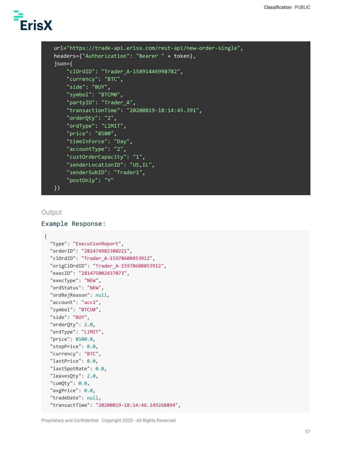```
url="https://trade-api.erisx.com/rest-api/new-order-single",
headers={"Authorization": "Bearer " + token},
json={
    "clOrdID": "Trader_A-15891446998782",
    "currency": "BTC",
    "side": "BUY",
    "symbol": "BTCM0",
    "partyID": "Trader_A",
    "transactionTime": "20200819-18:14:45.391",
    "orderQty": "2",
    "ordType": "LIMIT",
    "price": "8500",
    "timeInForce": "Day",
    "accountType": "2",
    "custOrderCapacity": "1",
    "senderLocationID": "US,IL",
    "senderSubID": "Trader1",
    "postOnly": "Y"
})
```
#### **Output**

#### Example Response:

```
{
  "type": "ExecutionReport",
  "orderID": "281474982380221",
  "clOrdID": "Trader_A-15978608853912",
  "origClOrdID": "Trader_A-15978608853912",
  "execID": "281475002437073",
  "execType": "NEW",
  "ordStatus": "NEW",
  "ordRejReason": null,
  "account": "acc2",
  "symbol": "BTCU0",
  "side": "BUY",
  "orderQty": 2.0,
  "ordType": "LIMIT",
  "price": 8500.0,
  "stopPrice": 0.0,
  "currency": "BTC",
  "lastPrice": 0.0,
  "lastSpotRate": 0.0,
  "leavesQty": 2.0,
  "cumQty": 0.0,
  "avgPrice": 0.0,
  "tradeDate": null,
  "transactTime": "20200819-18:14:46.149268894",
```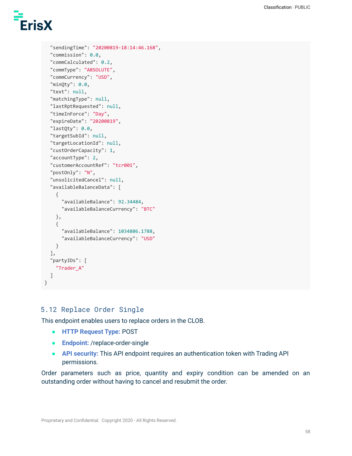

```
"sendingTime": "20200819-18:14:46.168",
 "commission": 0.0,
  "commCalculated": 0.2,
  "commType": "ABSOLUTE",
 "commCurrency": "USD",
  "minQty": 0.0,
 "text": null,
  "matchingType": null,
 "lastRptRequested": null,
 "timeInForce": "Day",
 "expireDate": "20200819",
 "lastQty": 0.0,
 "targetSubId": null,
  "targetLocationId": null,
  "custOrderCapacity": 1,
  "accountType": 2,
 "customerAccountRef": "tcr001",
  "postOnly": "N",
  "unsolicitedCancel": null,
  "availableBalanceData": [
   {
      "availableBalance": 92.34484,
      "availableBalanceCurrency": "BTC"
   },
   {
      "availableBalance": 1034806.1788,
      "availableBalanceCurrency": "USD"
   }
 ],
  "partyIDs": [
   "Trader_A"
 \mathbf{I}}
```
# 5.12 Replace Order Single

This endpoint enables users to replace orders in the CLOB.

- **HTTP Request Type:** POST
- **Endpoint:** /replace-order-single
- **API security:** This API endpoint requires an authentication token with Trading API permissions.

Order parameters such as price, quantity and expiry condition can be amended on an outstanding order without having to cancel and resubmit the order.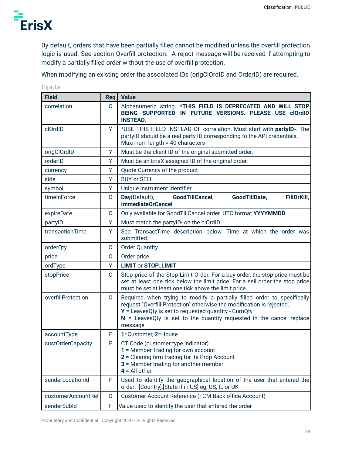

By default, orders that have been partially filled cannot be modified unless the overfill protection logic is used. See section Overfill protection. A reject message will be received if attempting to modify a partially filled order without the use of overfill protection.

When modifying an existing order the associated IDs (origClOrdID and OrderID) are required.

| <b>Field</b>       | Req         | <b>Value</b>                                                                                                                                                                                                                                                                                   |
|--------------------|-------------|------------------------------------------------------------------------------------------------------------------------------------------------------------------------------------------------------------------------------------------------------------------------------------------------|
| correlation        | $\Omega$    | Alphanumeric string. *THIS FIELD IS DEPRECATED AND WILL STOP<br>BEING SUPPORTED IN FUTURE VERSIONS. PLEASE USE clOrdID<br><b>INSTEAD.</b>                                                                                                                                                      |
| clOrdID            | Y           | *USE THIS FIELD INSTEAD OF correlation. Must start with partyID-. The<br>partyID should be a real party ID corresponding to the API credentials.<br>Maximum length = 40 characters                                                                                                             |
| origClOrdID        | Υ           | Must be the client ID of the original submitted order.                                                                                                                                                                                                                                         |
| orderID            | Y           | Must be an ErisX assigned ID of the original order.                                                                                                                                                                                                                                            |
| currency           | Υ           | Quote Currency of the product                                                                                                                                                                                                                                                                  |
| side               | Y           | <b>BUY or SELL</b>                                                                                                                                                                                                                                                                             |
| symbol             | Y           | Unique instrument identifier                                                                                                                                                                                                                                                                   |
| timeInForce        | 0           | Day(Default),<br>GoodTillDate,<br>FillOrKill,<br>GoodTillCancel,<br><b>ImmediateOrCancel</b>                                                                                                                                                                                                   |
| expireDate         | C           | Only available for GoodTillCancel order. UTC format YYYYMMDD                                                                                                                                                                                                                                   |
| partylD            | Y           | Must match the partylD- on the clOrdID                                                                                                                                                                                                                                                         |
| transactionTime    | Y           | See TransactTime description below. Time at which the order was<br>submitted.                                                                                                                                                                                                                  |
| orderQty           | O           | <b>Order Quantity</b>                                                                                                                                                                                                                                                                          |
| price              | O           | Order price                                                                                                                                                                                                                                                                                    |
| ordType            | Y           | <b>LIMIT or STOP_LIMIT</b>                                                                                                                                                                                                                                                                     |
| stopPrice          | $\mathsf C$ | Stop price of the Stop Limit Order. For a buy order, the stop price must be<br>set at least one tick below the limit price. For a sell order the stop price<br>must be set at least one tick above the limit price.                                                                            |
| overfillProtection | $\Omega$    | Required when trying to modify a partially filled order to specifically<br>request "Overfill Protection" otherwise the modification is rejected.<br>$Y =$ LeavesQty is set to requested quantity - CumQty<br>$N =$ LeavesQty is set to the quantity requested in the cancel replace<br>message |
| accountType        | F           | 1=Customer, 2=House                                                                                                                                                                                                                                                                            |
| custOrderCapacity  | F           | CTICode (customer type indicator)<br>1 = Member Trading for own account<br>2 = Clearing firm trading for its Prop Account<br><b>3</b> = Member trading for another member<br>$4 = All other$                                                                                                   |
| senderLocationId   | F           | Used to identify the geographical location of the user that entered the<br>order: [Country], [State if in US] eg; US, IL or UK                                                                                                                                                                 |
| customerAccountRef | O           | Customer Account Reference (FCM Back office Account)                                                                                                                                                                                                                                           |
| senderSubId        | F           | Value used to identify the user that entered the order                                                                                                                                                                                                                                         |

Inputs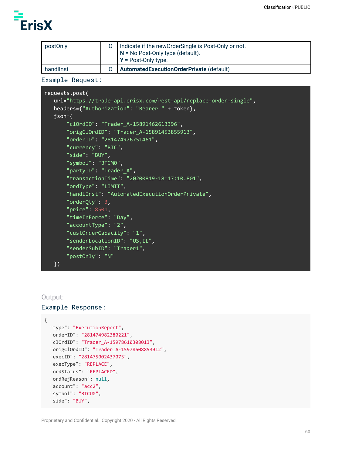

| postOnly  | O   Indicate if the newOrderSingle is Post-Only or not.<br>$N = No$ Post-Only type (default).<br>$\mathsf{I} \mathsf{Y}$ = Post-Only type. |
|-----------|--------------------------------------------------------------------------------------------------------------------------------------------|
| handlinst | Automated Execution Order Private (default)                                                                                                |

Example Request:

```
requests.post(
  url="https://trade-api.erisx.com/rest-api/replace-order-single",
  headers={"Authorization": "Bearer " + token},
  json={
       "clOrdID": "Trader_A-15891462613396",
       "origClOrdID": "Trader_A-15891453855913",
       "orderID": "281474976751461",
       "currency": "BTC",
       "side": "BUY",
       "symbol": "BTCM0",
       "partyID": "Trader_A",
       "transactionTime": "20200819-18:17:10.801",
       "ordType": "LIMIT",
       "handlInst": "AutomatedExecutionOrderPrivate",
       "orderQty": 3,
       "price": 8501,
       "timeInForce": "Day",
       "accountType": "2",
       "custOrderCapacity": "1",
       "senderLocationID": "US,IL",
       "senderSubID": "Trader1",
       "postOnly": "N"
  })
```
#### Output:

#### Example Response:

```
{
  "type": "ExecutionReport",
  "orderID": "281474982380221",
  "clOrdID": "Trader_A-15978610308013",
  "origClOrdID": "Trader_A-15978608853912",
  "execID": "281475002437075",
  "execType": "REPLACE",
  "ordStatus": "REPLACED",
  "ordRejReason": null,
  "account": "acc2",
  "symbol": "BTCU0",
  "side": "BUY",
```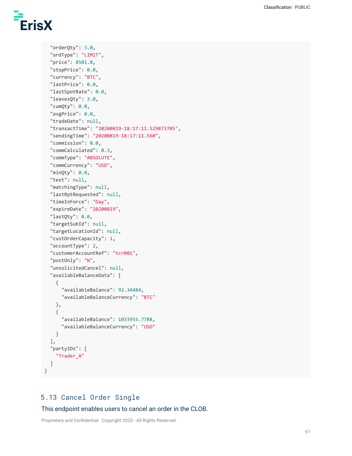```
"orderQty": 3.0,
"ordType": "LIMIT",
"price": 8501.0,
"stopPrice": 0.0,
"currency": "BTC",
"lastPrice": 0.0,
"lastSpotRate": 0.0,
"leavesQty": 3.0,
"cumQty": 0.0,
"avgPrice": 0.0,
"tradeDate": null,
"transactTime": "20200819-18:17:11.529873705",
"sendingTime": "20200819-18:17:11.560",
"commission": 0.0,
"commCalculated": 0.3,
"commType": "ABSOLUTE",
"commCurrency": "USD",
"minQty": 0.0,
"text": null,
"matchingType": null,
"lastRptRequested": null,
"timeInForce": "Day",
"expireDate": "20200819",
"lastQty": 0.0,
"targetSubId": null,
"targetLocationId": null,
"custOrderCapacity": 1,
"accountType": 2,
"customerAccountRef": "tcr001",
"postOnly": "N",
"unsolicitedCancel": null,
"availableBalanceData": [
  {
    "availableBalance": 92.34484,
    "availableBalanceCurrency": "BTC"
 },
  {
    "availableBalance": 1033955.7788,
    "availableBalanceCurrency": "USD"
  }
],
"partyIDs": [
  "Trader_A"
\mathbf{I}
```
# 5.13 Cancel Order Single

}

This endpoint enables users to cancel an order in the CLOB.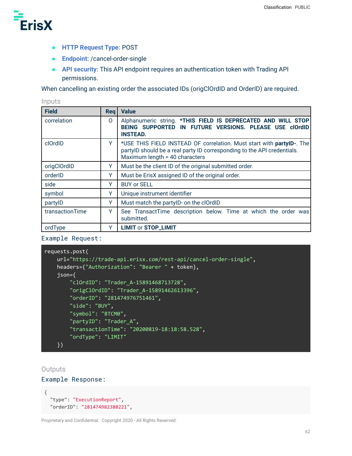

- **HTTP Request Type:** POST
- **Endpoint:** /cancel-order-single
- **API security:** This API endpoint requires an authentication token with Trading API permissions.

When cancelling an existing order the associated IDs (origClOrdID and OrderID) are required.

Inputs

| <b>Field</b>    | <b>Req</b> | <b>Value</b>                                                                                                                                                                       |
|-----------------|------------|------------------------------------------------------------------------------------------------------------------------------------------------------------------------------------|
| correlation     | 0          | Alphanumeric string. *THIS FIELD IS DEPRECATED AND WILL STOP<br>BEING SUPPORTED IN FUTURE VERSIONS. PLEASE USE clOrdID<br><b>INSTEAD.</b>                                          |
| clOrdID         | Y          | *USE THIS FIELD INSTEAD OF correlation. Must start with partyID-. The<br>partylD should be a real party ID corresponding to the API credentials.<br>Maximum length = 40 characters |
| origClOrdID     | Y          | Must be the client ID of the original submitted order.                                                                                                                             |
| orderID         | Υ          | Must be ErisX assigned ID of the original order.                                                                                                                                   |
| side            | Y          | <b>BUY or SELL</b>                                                                                                                                                                 |
| symbol          | Υ          | Unique instrument identifier                                                                                                                                                       |
| partylD         | Υ          | Must match the partylD- on the clOrdID                                                                                                                                             |
| transactionTime | Y          | See TransactTime description below. Time at which the order was<br>submitted.                                                                                                      |
| ordType         | Υ          | <b>LIMIT or STOP_LIMIT</b>                                                                                                                                                         |

Example Request:

```
requests.post(
   url="https://trade-api.erisx.com/rest-api/cancel-order-single",
   headers={"Authorization": "Bearer " + token},
   json={
        "clOrdID": "Trader_A-15891468713728",
       "origClOrdID": "Trader_A-15891462613396",
       "orderID": "281474976751461",
        "side": "BUY",
       "symbol": "BTCM0",
        "partyID": "Trader_A",
        "transactionTime": "20200819-18:18:58.528",
       "ordType": "LIMIT"
    })
```
**Outputs** 

Example Response:

```
{
  "type": "ExecutionReport",
  "orderID": "281474982380221",
```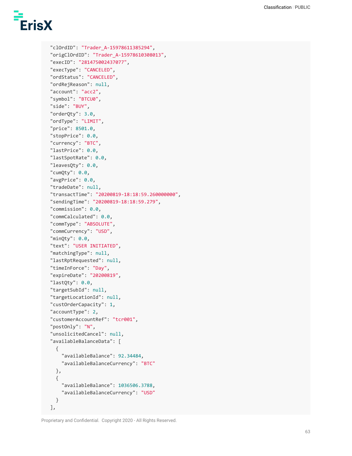```
"clOrdID": "Trader_A-15978611385294",
"origClOrdID": "Trader_A-15978610308013",
"execID": "281475002437077",
"execType": "CANCELED",
"ordStatus": "CANCELED",
"ordRejReason": null,
"account": "acc2",
"symbol": "BTCU0",
"side": "BUY",
"orderQty": 3.0,
"ordType": "LIMIT",
"price": 8501.0,
"stopPrice": 0.0,
"currency": "BTC",
"lastPrice": 0.0,
"lastSpotRate": 0.0,
"leavesQty": 0.0,
"cumQty": 0.0,
"avgPrice": 0.0,
"tradeDate": null,
"transactTime": "20200819-18:18:59.260000000",
"sendingTime": "20200819-18:18:59.279",
"commission": 0.0,
"commCalculated": 0.0,
"commType": "ABSOLUTE",
"commCurrency": "USD",
"minQty": 0.0,
"text": "USER INITIATED",
"matchingType": null,
"lastRptRequested": null,
"timeInForce": "Day",
"expireDate": "20200819",
"lastQty": 0.0,
"targetSubId": null,
"targetLocationId": null,
"custOrderCapacity": 1,
"accountType": 2,
"customerAccountRef": "tcr001",
"postOnly": "N",
"unsolicitedCancel": null,
"availableBalanceData": [
  {
    "availableBalance": 92.34484,
    "availableBalanceCurrency": "BTC"
  },
  {
    "availableBalance": 1036506.3788,
    "availableBalanceCurrency": "USD"
  }
],
```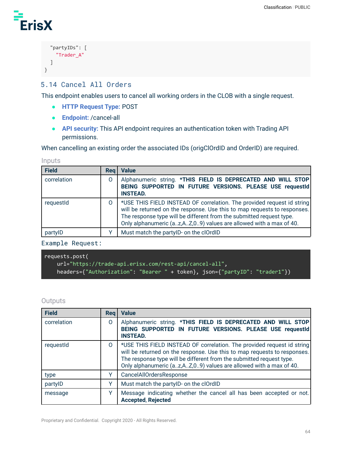```
"partyIDs": [
     "Trader_A"
  \mathbf{I}}
```
# 5.14 Cancel All Orders

This endpoint enables users to cancel all working orders in the CLOB with a single request.

- **HTTP Request Type:** POST
- **Endpoint:** /cancel-all
- **API security:** This API endpoint requires an authentication token with Trading API permissions.

When cancelling an existing order the associated IDs (origClOrdID and OrderID) are required.

#### Inputs

| <b>Field</b> | Rea | <b>Value</b>                                                                                                                                                                                                                                                                                    |
|--------------|-----|-------------------------------------------------------------------------------------------------------------------------------------------------------------------------------------------------------------------------------------------------------------------------------------------------|
| correlation  | O   | Alphanumeric string. *THIS FIELD IS DEPRECATED AND WILL STOP<br>BEING SUPPORTED IN FUTURE VERSIONS. PLEASE USE requestId<br><b>INSTEAD.</b>                                                                                                                                                     |
| requestId    | 0   | *USE THIS FIELD INSTEAD OF correlation. The provided request id string<br>will be returned on the response. Use this to map requests to responses.<br>The response type will be different from the submitted request type.<br>Only alphanumeric (az,AZ,09) values are allowed with a max of 40. |
| partylD      |     | Must match the partylD- on the clOrdID                                                                                                                                                                                                                                                          |

#### Example Request:

```
requests.post(
   url="https://trade-api.erisx.com/rest-api/cancel-all",
   headers={"Authorization": "Bearer " + token}, json={"partyID": "trader1"})
```
#### **Outputs**

| <b>Field</b> | Rea          | <b>Value</b>                                                                                                                                                                                                                                                                                    |
|--------------|--------------|-------------------------------------------------------------------------------------------------------------------------------------------------------------------------------------------------------------------------------------------------------------------------------------------------|
| correlation  | 0            | Alphanumeric string. *THIS FIELD IS DEPRECATED AND WILL STOP<br>BEING SUPPORTED IN FUTURE VERSIONS. PLEASE USE requestId<br><b>INSTEAD.</b>                                                                                                                                                     |
| requestid    | 0            | *USE THIS FIELD INSTEAD OF correlation. The provided request id string<br>will be returned on the response. Use this to map requests to responses.<br>The response type will be different from the submitted request type.<br>Only alphanumeric (az,AZ,09) values are allowed with a max of 40. |
| type         |              | <b>CancelAllOrdersResponse</b>                                                                                                                                                                                                                                                                  |
| partylD      | $\checkmark$ | Must match the partylD- on the clOrdID                                                                                                                                                                                                                                                          |
| message      | v            | Message indicating whether the cancel all has been accepted or not.<br><b>Accepted, Rejected</b>                                                                                                                                                                                                |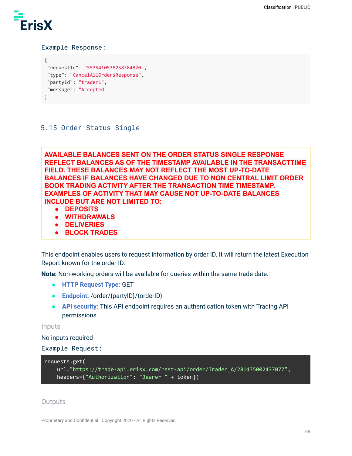

#### Example Response:

```
{
"requestId": "5535410536258384820",
"type": "CancelAllOrdersResponse",
"partyId": "trader1",
"message": "Accepted"
}
```
# 5.15 Order Status Single

**AVAILABLE BALANCES SENT ON THE ORDER STATUS SINGLE RESPONSE REFLECT BALANCES AS OF THE TIMESTAMP AVAILABLE IN THE TRANSACTTIME FIELD. THESE BALANCES MAY NOT REFLECT THE MOST UP-TO-DATE BALANCES IF BALANCES HAVE CHANGED DUE TO NON CENTRAL LIMIT ORDER BOOK TRADING ACTIVITY AFTER THE TRANSACTION TIME TIMESTAMP. EXAMPLES OF ACTIVITY THAT MAY CAUSE NOT UP-TO-DATE BALANCES INCLUDE BUT ARE NOT LIMITED TO:**

- **● DEPOSITS**
- **● WITHDRAWALS**
- **● DELIVERIES**
- **● BLOCK TRADES**

This endpoint enables users to request information by order ID. It will return the latest Execution Report known for the order ID.

**Note:** Non-working orders will be available for queries within the same trade date.

- **HTTP Request Type:** GET
- **Endpoint:** /order/{partyID}/{orderID}
- **API security:** This API endpoint requires an authentication token with Trading API permissions.

#### Inputs

No inputs required

```
Example Request:
```

```
requests.get(
    url="https://trade-api.erisx.com/rest-api/order/Trader_A/281475002437077",
    headers={"Authorization": "Bearer " + token})
```
#### **Outputs**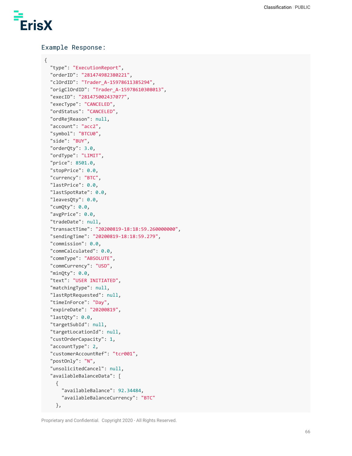

{

#### Example Response:

```
"type": "ExecutionReport",
"orderID": "281474982380221",
"clOrdID": "Trader_A-15978611385294",
"origClOrdID": "Trader_A-15978610308013",
"execID": "281475002437077",
"execType": "CANCELED",
"ordStatus": "CANCELED",
"ordRejReason": null,
"account": "acc2",
"symbol": "BTCU0",
"side": "BUY",
"orderQty": 3.0,
"ordType": "LIMIT",
"price": 8501.0,
"stopPrice": 0.0,
"currency": "BTC",
"lastPrice": 0.0,
"lastSpotRate": 0.0,
"leavesQty": 0.0,
"cumQty": 0.0,
"avgPrice": 0.0,
"tradeDate": null,
"transactTime": "20200819-18:18:59.260000000",
"sendingTime": "20200819-18:18:59.279",
"commission": 0.0,
"commCalculated": 0.0,
"commType": "ABSOLUTE",
"commCurrency": "USD",
"minQty": 0.0,
"text": "USER INITIATED",
"matchingType": null,
"lastRptRequested": null,
"timeInForce": "Day",
"expireDate": "20200819",
"lastQty": 0.0,
"targetSubId": null,
"targetLocationId": null,
"custOrderCapacity": 1,
"accountType": 2,
"customerAccountRef": "tcr001",
"postOnly": "N",
"unsolicitedCancel": null,
"availableBalanceData": [
  {
    "availableBalance": 92.34484,
    "availableBalanceCurrency": "BTC"
  },
```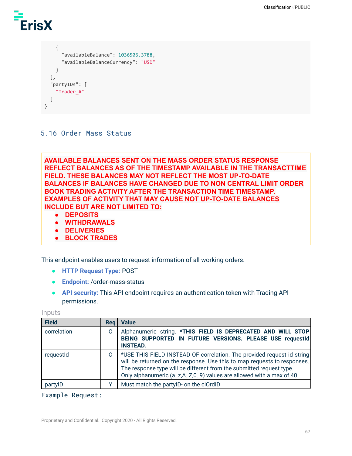

```
{
      "availableBalance": 1036506.3788,
      "availableBalanceCurrency": "USD"
    }
  ],
  "partyIDs": [
    "Trader_A"
  \mathbf{I}}
```
### 5.16 Order Mass Status

**AVAILABLE BALANCES SENT ON THE MASS ORDER STATUS RESPONSE REFLECT BALANCES AS OF THE TIMESTAMP AVAILABLE IN THE TRANSACTTIME FIELD. THESE BALANCES MAY NOT REFLECT THE MOST UP-TO-DATE BALANCES IF BALANCES HAVE CHANGED DUE TO NON CENTRAL LIMIT ORDER BOOK TRADING ACTIVITY AFTER THE TRANSACTION TIME TIMESTAMP. EXAMPLES OF ACTIVITY THAT MAY CAUSE NOT UP-TO-DATE BALANCES INCLUDE BUT ARE NOT LIMITED TO:**

- **● DEPOSITS**
- **● WITHDRAWALS**
- **● DELIVERIES**
- **● BLOCK TRADES**

This endpoint enables users to request information of all working orders.

- **HTTP Request Type:** POST
- **Endpoint:** /order-mass-status
- **API security:** This API endpoint requires an authentication token with Trading API permissions.

Inputs

| <b>Field</b> | Reg | <b>Value</b>                                                                                                                                                                                                                                                                                    |
|--------------|-----|-------------------------------------------------------------------------------------------------------------------------------------------------------------------------------------------------------------------------------------------------------------------------------------------------|
| correlation  | 0   | Alphanumeric string. *THIS FIELD IS DEPRECATED AND WILL STOP<br>BEING SUPPORTED IN FUTURE VERSIONS. PLEASE USE requestId<br><b>INSTEAD.</b>                                                                                                                                                     |
| requestId    | 0   | *USE THIS FIELD INSTEAD OF correlation. The provided request id string<br>will be returned on the response. Use this to map requests to responses.<br>The response type will be different from the submitted request type.<br>Only alphanumeric (az,AZ,09) values are allowed with a max of 40. |
| partylD      |     | Must match the partylD- on the clOrdID                                                                                                                                                                                                                                                          |

#### Example Request: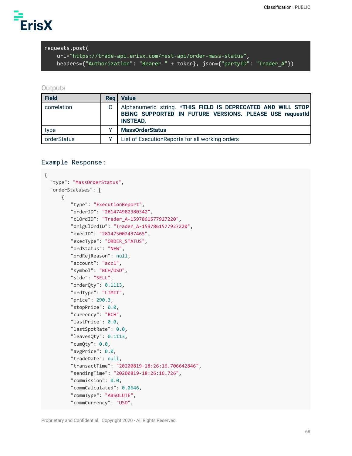

```
requests.post(
```
url="https://trade-api.erisx.com/rest-api/order-mass-status", headers={"Authorization": "Bearer " + token}, json={"partyID": "Trader\_A"})

#### **Outputs**

| <b>Field</b> | <b>Req</b> | Value                                                                                                                                       |
|--------------|------------|---------------------------------------------------------------------------------------------------------------------------------------------|
| correlation  |            | Alphanumeric string. *THIS FIELD IS DEPRECATED AND WILL STOP<br>BEING SUPPORTED IN FUTURE VERSIONS. PLEASE USE requestId<br><b>INSTEAD.</b> |
| type         |            | <b>MassOrderStatus</b>                                                                                                                      |
| orderStatus  |            | List of ExecutionReports for all working orders                                                                                             |

#### Example Response:

```
{
  "type": "MassOrderStatus",
  "orderStatuses": [
      {
         "type": "ExecutionReport",
         "orderID": "281474982380342",
         "clOrdID": "Trader_A-1597861577927220",
         "origClOrdID": "Trader_A-1597861577927220",
         "execID": "281475002437465",
         "execType": "ORDER_STATUS",
         "ordStatus": "NEW",
         "ordRejReason": null,
         "account": "acc1",
         "symbol": "BCH/USD",
         "side": "SELL",
         "orderQty": 0.1113,
         "ordType": "LIMIT",
         "price": 290.3,
         "stopPrice": 0.0,
         "currency": "BCH",
         "lastPrice": 0.0,
         "lastSpotRate": 0.0,
         "leavesQty": 0.1113,
         "cumQty": 0.0,
         "avgPrice": 0.0,
         "tradeDate": null,
         "transactTime": "20200819-18:26:16.706642846",
         "sendingTime": "20200819-18:26:16.726",
         "commission": 0.0,
         "commCalculated": 0.0646,
         "commType": "ABSOLUTE",
         "commCurrency": "USD",
```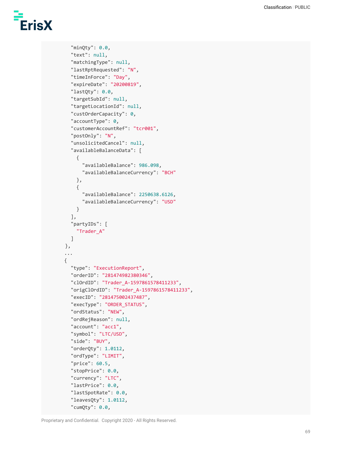```
"minQty": 0.0,
  "text": null,
  "matchingType": null,
  "lastRptRequested": "N",
  "timeInForce": "Day",
  "expireDate": "20200819",
  "lastQty": 0.0,
  "targetSubId": null,
  "targetLocationId": null,
  "custOrderCapacity": 0,
  "accountType": 0,
  "customerAccountRef": "tcr001",
  "postOnly": "N",
  "unsolicitedCancel": null,
  "availableBalanceData": [
    {
      "availableBalance": 986.098,
      "availableBalanceCurrency": "BCH"
    },
    {
      "availableBalance": 2250638.6126,
      "availableBalanceCurrency": "USD"
    }
  ],
  "partyIDs": [
    "Trader_A"
  ]
},
...
{
  "type": "ExecutionReport",
  "orderID": "281474982380346",
  "clOrdID": "Trader_A-1597861578411233",
  "origClOrdID": "Trader_A-1597861578411233",
  "execID": "281475002437487",
  "execType": "ORDER_STATUS",
  "ordStatus": "NEW",
  "ordRejReason": null,
  "account": "acc1",
  "symbol": "LTC/USD",
  "side": "BUY",
  "orderQty": 1.0112,
  "ordType": "LIMIT",
  "price": 60.5,
  "stopPrice": 0.0,
  "currency": "LTC",
  "lastPrice": 0.0,
  "lastSpotRate": 0.0,
  "leavesQty": 1.0112,
  "cumQty": 0.0,
```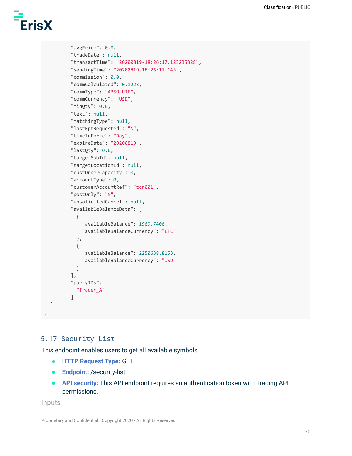```
"avgPrice": 0.0,
"tradeDate": null,
"transactTime": "20200819-18:26:17.123235328",
"sendingTime": "20200819-18:26:17.143",
"commission": 0.0,
"commCalculated": 0.1223,
"commType": "ABSOLUTE",
"commCurrency": "USD",
"minQty": 0.0,
"text": null,
"matchingType": null,
"lastRptRequested": "N",
"timeInForce": "Day",
"expireDate": "20200819",
"lastQty": 0.0,
"targetSubId": null,
"targetLocationId": null,
"custOrderCapacity": 0,
"accountType": 0,
"customerAccountRef": "tcr001",
"postOnly": "N",
"unsolicitedCancel": null,
"availableBalanceData": [
  {
    "availableBalance": 1969.7406,
    "availableBalanceCurrency": "LTC"
  },
  {
    "availableBalance": 2250638.8153,
    "availableBalanceCurrency": "USD"
 }
],
"partyIDs": [
  "Trader_A"
\mathbf{I}
```
# 5.17 Security List

This endpoint enables users to get all available symbols.

- **HTTP Request Type:** GET
- **Endpoint:** /security-list
- **API security:** This API endpoint requires an authentication token with Trading API permissions.

Inputs

] }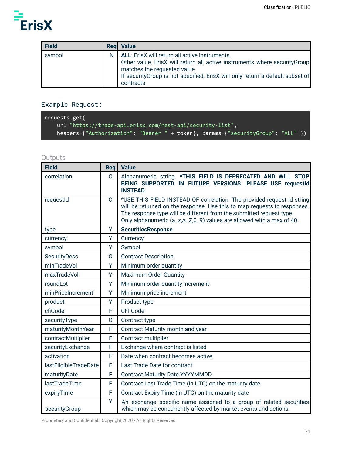

| <b>Field</b> |   | <b>Reg</b> Value                                                                                                                                                                                                                                                |
|--------------|---|-----------------------------------------------------------------------------------------------------------------------------------------------------------------------------------------------------------------------------------------------------------------|
| symbol       | N | <b>ALL:</b> ErisX will return all active instruments<br>Other value, ErisX will return all active instruments where securityGroup<br>matches the requested value<br>If security Group is not specified, ErisX will only return a default subset of<br>contracts |

# Example Request:

| requests.get(                                                                   |
|---------------------------------------------------------------------------------|
| $url="http://trade-api.erisx.com/rest-api/security-list",$                      |
| headers={"Authorization": "Bearer " + token}, params={"securityGroup": "ALL" }) |

# **Outputs**

| <b>Field</b>          | Req      | <b>Value</b>                                                                                                                                                                                                                                                                                      |
|-----------------------|----------|---------------------------------------------------------------------------------------------------------------------------------------------------------------------------------------------------------------------------------------------------------------------------------------------------|
| correlation           | $\Omega$ | Alphanumeric string. *THIS FIELD IS DEPRECATED AND WILL STOP<br>BEING SUPPORTED IN FUTURE VERSIONS. PLEASE USE requestId<br><b>INSTEAD.</b>                                                                                                                                                       |
| requestId             | $\Omega$ | *USE THIS FIELD INSTEAD OF correlation. The provided request id string<br>will be returned on the response. Use this to map requests to responses.<br>The response type will be different from the submitted request type.<br>Only alphanumeric (az, AZ, 09) values are allowed with a max of 40. |
| type                  | Y        | <b>SecuritiesResponse</b>                                                                                                                                                                                                                                                                         |
| currency              | Y        | Currency                                                                                                                                                                                                                                                                                          |
| symbol                | Y        | Symbol                                                                                                                                                                                                                                                                                            |
| SecurityDesc          | O        | <b>Contract Description</b>                                                                                                                                                                                                                                                                       |
| minTradeVol           | Y        | Minimum order quantity                                                                                                                                                                                                                                                                            |
| maxTradeVol           | Y        | <b>Maximum Order Quantity</b>                                                                                                                                                                                                                                                                     |
| roundLot              | Y        | Minimum order quantity increment                                                                                                                                                                                                                                                                  |
| minPriceIncrement     | Y        | Minimum price increment                                                                                                                                                                                                                                                                           |
| product               | Y        | Product type                                                                                                                                                                                                                                                                                      |
| cfiCode               | F        | <b>CFI Code</b>                                                                                                                                                                                                                                                                                   |
| securityType          | O        | Contract type                                                                                                                                                                                                                                                                                     |
| maturityMonthYear     | F        | Contract Maturity month and year                                                                                                                                                                                                                                                                  |
| contractMultiplier    | F        | Contract multiplier                                                                                                                                                                                                                                                                               |
| securityExchange      | F        | Exchange where contract is listed                                                                                                                                                                                                                                                                 |
| activation            | F        | Date when contract becomes active                                                                                                                                                                                                                                                                 |
| lastEligibleTradeDate | F        | Last Trade Date for contract                                                                                                                                                                                                                                                                      |
| maturityDate          | F        | <b>Contract Maturity Date YYYYMMDD</b>                                                                                                                                                                                                                                                            |
| lastTradeTime         | F        | Contract Last Trade Time (in UTC) on the maturity date                                                                                                                                                                                                                                            |
| expiryTime            | F        | Contract Expiry Time (in UTC) on the maturity date                                                                                                                                                                                                                                                |
| securityGroup         | Y        | An exchange specific name assigned to a group of related securities<br>which may be concurrently affected by market events and actions.                                                                                                                                                           |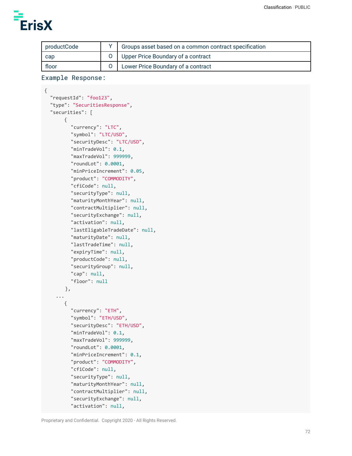{

| productCode | Groups asset based on a common contract specification |
|-------------|-------------------------------------------------------|
| cap         | O   Upper Price Boundary of a contract                |
| floor       | Lower Price Boundary of a contract                    |

```
Example Response:
```

```
"requestId": "foo123",
"type": "SecuritiesResponse",
"securities": [
    {
       "currency": "LTC",
       "symbol": "LTC/USD",
       "securityDesc": "LTC/USD",
       "minTradeVol": 0.1,
       "maxTradeVol": 999999,
       "roundLot": 0.0001,
       "minPriceIncrement": 0.05,
       "product": "COMMODITY",
       "cfiCode": null,
       "securityType": null,
       "maturityMonthYear": null,
       "contractMultiplier": null,
       "securityExchange": null,
       "activation": null,
       "lastEligableTradeDate": null,
       "maturityDate": null,
       "lastTradeTime": null,
       "expiryTime": null,
       "productCode": null,
       "securityGroup": null,
       "cap": null,
       "floor": null
     },
  ...
    {
       "currency": "ETH",
       "symbol": "ETH/USD",
       "securityDesc": "ETH/USD",
       "minTradeVol": 0.1,
       "maxTradeVol": 999999,
       "roundLot": 0.0001,
       "minPriceIncrement": 0.1,
       "product": "COMMODITY",
       "cfiCode": null,
       "securityType": null,
       "maturityMonthYear": null,
       "contractMultiplier": null,
       "securityExchange": null,
       "activation": null,
```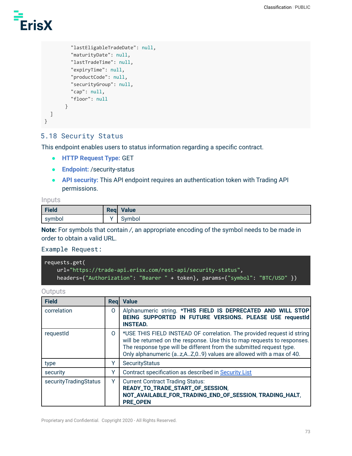# **ErisX**

```
"lastEligableTradeDate": null,
         "maturityDate": null,
         "lastTradeTime": null,
         "expiryTime": null,
         "productCode": null,
         "securityGroup": null,
         "cap": null,
         "floor": null
       }
 ]
}
```
# 5.18 Security Status

This endpoint enables users to status information regarding a specific contract.

- **HTTP Request Type:** GET
- **Endpoint:** /security-status
- **API security:** This API endpoint requires an authentication token with Trading API permissions.

## Inputs

| Field  | Req Value |
|--------|-----------|
| symbol | svmbol    |

**Note:** For symbols that contain */*, an appropriate encoding of the symbol needs to be made in order to obtain a valid URL.

#### Example Request:

```
requests.get(
   url="https://trade-api.erisx.com/rest-api/security-status",
   headers={"Authorization": "Bearer " + token}, params={"symbol": "BTC/USD" })
```
## **Outputs**

| <b>Field</b>          | Reg      | <b>Value</b>                                                                                                                                                                                                                                                                                    |
|-----------------------|----------|-------------------------------------------------------------------------------------------------------------------------------------------------------------------------------------------------------------------------------------------------------------------------------------------------|
| correlation           | 0        | Alphanumeric string. *THIS FIELD IS DEPRECATED AND WILL STOP<br>BEING SUPPORTED IN FUTURE VERSIONS. PLEASE USE requestId<br><b>INSTEAD.</b>                                                                                                                                                     |
| requestId             | $\Omega$ | *USE THIS FIELD INSTEAD OF correlation. The provided request id string<br>will be returned on the response. Use this to map requests to responses.<br>The response type will be different from the submitted request type.<br>Only alphanumeric (az,AZ,09) values are allowed with a max of 40. |
| type                  | Y        | SecurityStatus                                                                                                                                                                                                                                                                                  |
| security              | Υ        | Contract specification as described in Security List                                                                                                                                                                                                                                            |
| securityTradingStatus | Y        | <b>Current Contract Trading Status:</b><br>READY_TO_TRADE_START_OF_SESSION,<br>NOT_AVAILABLE_FOR_TRADING_END_OF_SESSION, TRADING_HALT,<br><b>PRE_OPEN</b>                                                                                                                                       |

Proprietary and Confidential. Copyright 2020 - All Rights Reserved.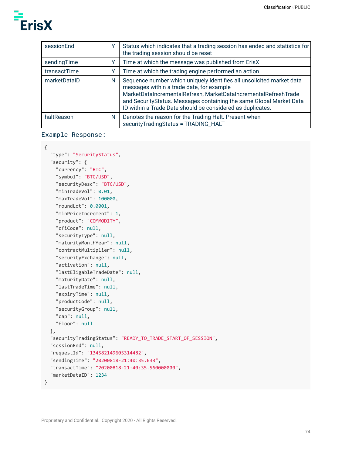

| sessionEnd   |   | Status which indicates that a trading session has ended and statistics for<br>the trading session should be reset                                                                                                                                                                                                          |
|--------------|---|----------------------------------------------------------------------------------------------------------------------------------------------------------------------------------------------------------------------------------------------------------------------------------------------------------------------------|
| sendingTime  |   | Time at which the message was published from ErisX                                                                                                                                                                                                                                                                         |
| transactTime |   | Time at which the trading engine performed an action                                                                                                                                                                                                                                                                       |
| marketDataID | N | Sequence number which uniquely identifies all unsolicited market data<br>messages within a trade date, for example<br>MarketDataIncrementalRefresh, MarketDataIncrementalRefreshTrade<br>and SecurityStatus. Messages containing the same Global Market Data<br>ID within a Trade Date should be considered as duplicates. |
| haltReason   | N | Denotes the reason for the Trading Halt. Present when<br>securityTradingStatus = TRADING_HALT                                                                                                                                                                                                                              |

```
Example Response:
```

```
{
  "type": "SecurityStatus",
 "security": {
   "currency": "BTC",
   "symbol": "BTC/USD",
    "securityDesc": "BTC/USD",
    "minTradeVol": 0.01,
   "maxTradeVol": 100000,
    "roundLot": 0.0001,
   "minPriceIncrement": 1,
    "product": "COMMODITY",
    "cfiCode": null,
   "securityType": null,
    "maturityMonthYear": null,
   "contractMultiplier": null,
    "securityExchange": null,
    "activation": null,
   "lastEligableTradeDate": null,
    "maturityDate": null,
   "lastTradeTime": null,
    "expiryTime": null,
   "productCode": null,
   "securityGroup": null,
   "cap": null,
   "floor": null
 },
 "securityTradingStatus": "READY_TO_TRADE_START_OF_SESSION",
 "sessionEnd": null,
 "requestId": "134582149605314482",
  "sendingTime": "20200818-21:40:35.633",
  "transactTime": "20200818-21:40:35.560000000",
 "marketDataID": 1234
}
```
Proprietary and Confidential. Copyright 2020 - All Rights Reserved.